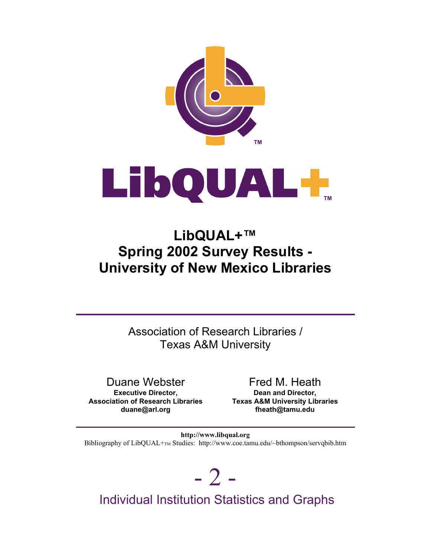



# **LibQUAL+™ Spring 2002 Survey Results - University of New Mexico Libraries**

Association of Research Libraries / Texas A&M University

Duane Webster **Executive Director, Association of Research Libraries duane@arl.org**

Fred M. Heath **Dean and Director, Texas A&M University Libraries fheath@tamu.edu**

Bibliography of LibQUAL+TM Studies: http://www.coe.tamu.edu/~bthompson/servqbib.htm **http://www.libqual.org**

 $-2-$ 

Individual Institution Statistics and Graphs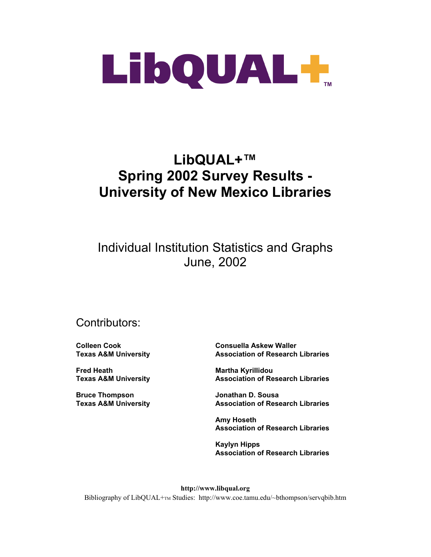

# **LibQUAL+™ Spring 2002 Survey Results - University of New Mexico Libraries**

# Individual Institution Statistics and Graphs June, 2002

# Contributors:

**Colleen Cook Texas A&M University**

**Fred Heath Texas A&M University**

**Bruce Thompson Texas A&M University** **Consuella Askew Waller Association of Research Libraries**

**Martha Kyrillidou Association of Research Libraries**

**Jonathan D. Sousa Association of Research Libraries**

**Amy Hoseth Association of Research Libraries**

**Kaylyn Hipps Association of Research Libraries**

**http://www.libqual.org** Bibliography of LibQUAL+T<sub>M</sub> Studies: http://www.coe.tamu.edu/~bthompson/servqbib.htm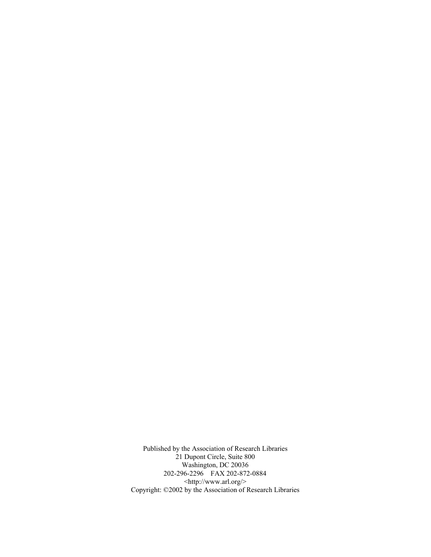Published by the Association of Research Libraries 21 Dupont Circle, Suite 800 Washington, DC 20036 202-296-2296 FAX 202-872-0884 <http://www.arl.org/> Copyright: ©2002 by the Association of Research Libraries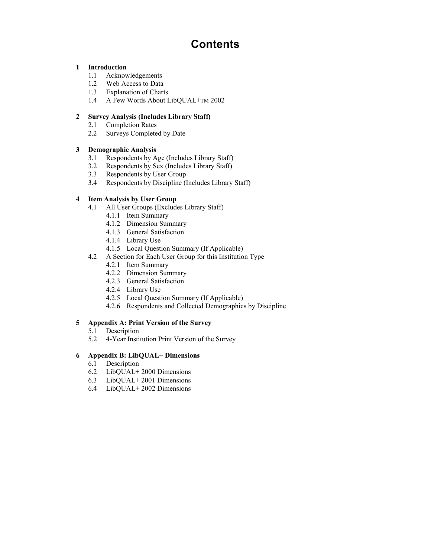# **Contents**

#### **1 Introduction**

- 1.1 Acknowledgements
- 1.2 Web Access to Data
- 1.3 Explanation of Charts
- 1.4 A Few Words About LibQUAL+TM 2002

#### **2 Survey Analysis (Includes Library Staff)**

- 2.1 Completion Rates
- 2.2 Surveys Completed by Date

#### **3 Demographic Analysis**

- 3.1 Respondents by Age (Includes Library Staff)
- 3.2 Respondents by Sex (Includes Library Staff)
- 3.3 Respondents by User Group
- 3.4 Respondents by Discipline (Includes Library Staff)

#### **4 Item Analysis by User Group**

- 4.1 All User Groups (Excludes Library Staff)
	- 4.1.1 Item Summary
	- 4.1.2 Dimension Summary
	- 4.1.3 General Satisfaction
	- 4.1.4 Library Use
	- 4.1.5 Local Question Summary (If Applicable)
- 4.2 A Section for Each User Group for this Institution Type
	- 4.2.1 Item Summary
	- 4.2.2 Dimension Summary
	- 4.2.3 General Satisfaction
	- 4.2.4 Library Use
	- 4.2.5 Local Question Summary (If Applicable)
	- 4.2.6 Respondents and Collected Demographics by Discipline

#### **5 Appendix A: Print Version of the Survey**

- 5.1 Description
- 5.2 4-Year Institution Print Version of the Survey

#### **6 Appendix B: LibQUAL+ Dimensions**

- 6.1 Description
- 6.2 LibQUAL+ 2000 Dimensions
- 6.3 LibQUAL+ 2001 Dimensions
- 6.4 LibQUAL+ 2002 Dimensions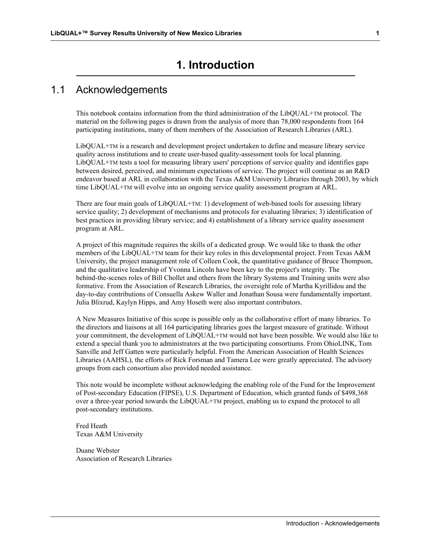# **1. Introduction**

### 1.1 Acknowledgements

This notebook contains information from the third administration of the LibQUAL+TM protocol. The material on the following pages is drawn from the analysis of more than 78,000 respondents from 164 participating institutions, many of them members of the Association of Research Libraries (ARL).

LibQUAL+TM is a research and development project undertaken to define and measure library service quality across institutions and to create user-based quality-assessment tools for local planning. LibQUAL+TM tests a tool for measuring library users' perceptions of service quality and identifies gaps between desired, perceived, and minimum expectations of service. The project will continue as an R&D endeavor based at ARL in collaboration with the Texas A&M University Libraries through 2003, by which time LibQUAL+TM will evolve into an ongoing service quality assessment program at ARL.

There are four main goals of LibQUAL+TM: 1) development of web-based tools for assessing library service quality; 2) development of mechanisms and protocols for evaluating libraries; 3) identification of best practices in providing library service; and 4) establishment of a library service quality assessment program at ARL.

A project of this magnitude requires the skills of a dedicated group. We would like to thank the other members of the LibQUAL+TM team for their key roles in this developmental project. From Texas A&M University, the project management role of Colleen Cook, the quantitative guidance of Bruce Thompson, and the qualitative leadership of Yvonna Lincoln have been key to the project's integrity. The behind-the-scenes roles of Bill Chollet and others from the library Systems and Training units were also formative. From the Association of Research Libraries, the oversight role of Martha Kyrillidou and the day-to-day contributions of Consuella Askew Waller and Jonathan Sousa were fundamentally important. Julia Blixrud, Kaylyn Hipps, and Amy Hoseth were also important contributors.

A New Measures Initiative of this scope is possible only as the collaborative effort of many libraries. To the directors and liaisons at all 164 participating libraries goes the largest measure of gratitude. Without your commitment, the development of LibQUAL+TM would not have been possible. We would also like to extend a special thank you to administrators at the two participating consortiums. From OhioLINK, Tom Sanville and Jeff Gatten were particularly helpful. From the American Association of Health Sciences Libraries (AAHSL), the efforts of Rick Forsman and Tamera Lee were greatly appreciated. The advisory groups from each consortium also provided needed assistance.

This note would be incomplete without acknowledging the enabling role of the Fund for the Improvement of Post-secondary Education (FIPSE), U.S. Department of Education, which granted funds of \$498,368 over a three-year period towards the LibQUAL+TM project, enabling us to expand the protocol to all post-secondary institutions.

Fred Heath Texas A&M University

Duane Webster Association of Research Libraries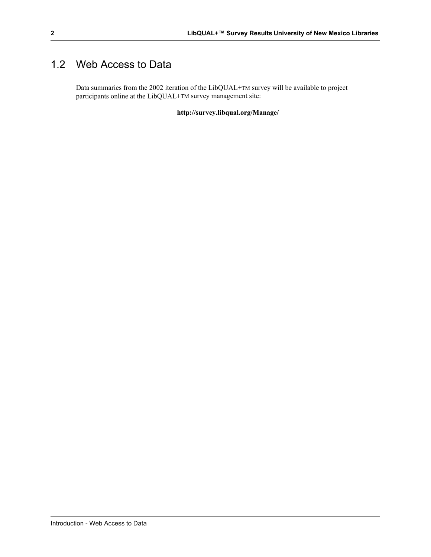# 1.2 Web Access to Data

Data summaries from the 2002 iteration of the LibQUAL+TM survey will be available to project participants online at the LibQUAL+TM survey management site:

**http://survey.libqual.org/Manage/**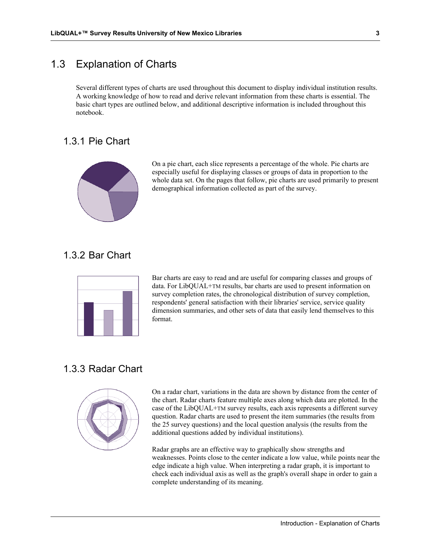# 1.3 Explanation of Charts

Several different types of charts are used throughout this document to display individual institution results. A working knowledge of how to read and derive relevant information from these charts is essential. The basic chart types are outlined below, and additional descriptive information is included throughout this notebook.

### 1.3.1 Pie Chart



On a pie chart, each slice represents a percentage of the whole. Pie charts are especially useful for displaying classes or groups of data in proportion to the whole data set. On the pages that follow, pie charts are used primarily to present demographical information collected as part of the survey.

### 1.3.2 Bar Chart



Bar charts are easy to read and are useful for comparing classes and groups of data. For LibQUAL+TM results, bar charts are used to present information on survey completion rates, the chronological distribution of survey completion, respondents' general satisfaction with their libraries' service, service quality dimension summaries, and other sets of data that easily lend themselves to this format.

# 1.3.3 Radar Chart



On a radar chart, variations in the data are shown by distance from the center of the chart. Radar charts feature multiple axes along which data are plotted. In the case of the LibQUAL+TM survey results, each axis represents a different survey question. Radar charts are used to present the item summaries (the results from the 25 survey questions) and the local question analysis (the results from the additional questions added by individual institutions).

Radar graphs are an effective way to graphically show strengths and weaknesses. Points close to the center indicate a low value, while points near the edge indicate a high value. When interpreting a radar graph, it is important to check each individual axis as well as the graph's overall shape in order to gain a complete understanding of its meaning.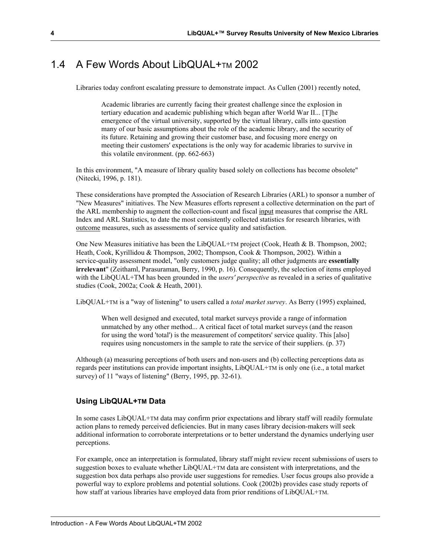### 1.4 A Few Words About LibQUAL+TM 2002

Libraries today confront escalating pressure to demonstrate impact. As Cullen (2001) recently noted,

Academic libraries are currently facing their greatest challenge since the explosion in tertiary education and academic publishing which began after World War II... [T]he emergence of the virtual university, supported by the virtual library, calls into question many of our basic assumptions about the role of the academic library, and the security of its future. Retaining and growing their customer base, and focusing more energy on meeting their customers' expectations is the only way for academic libraries to survive in this volatile environment. (pp. 662-663)

In this environment, "A measure of library quality based solely on collections has become obsolete" (Nitecki, 1996, p. 181).

These considerations have prompted the Association of Research Libraries (ARL) to sponsor a number of "New Measures" initiatives. The New Measures efforts represent a collective determination on the part of the ARL membership to augment the collection-count and fiscal input measures that comprise the ARL Index and ARL Statistics, to date the most consistently collected statistics for research libraries, with outcome measures, such as assessments of service quality and satisfaction.

One New Measures initiative has been the LibQUAL+TM project (Cook, Heath & B. Thompson, 2002; Heath, Cook, Kyrillidou & Thompson, 2002; Thompson, Cook & Thompson, 2002). Within a service-quality assessment model, "only customers judge quality; all other judgments are **essentially irrelevant**" (Zeithaml, Parasuraman, Berry, 1990, p. 16). Consequently, the selection of items employed with the LibQUAL+TM has been grounded in the *users' perspective* as revealed in a series of qualitative studies (Cook, 2002a; Cook & Heath, 2001).

LibQUAL+TM is a "way of listening" to users called a *total market survey*. As Berry (1995) explained,

When well designed and executed, total market surveys provide a range of information unmatched by any other method... A critical facet of total market surveys (and the reason for using the word 'total') is the measurement of competitors' service quality. This [also] requires using noncustomers in the sample to rate the service of their suppliers. (p. 37)

Although (a) measuring perceptions of both users and non-users and (b) collecting perceptions data as regards peer institutions can provide important insights, LibQUAL+TM is only one (i.e., a total market survey) of 11 "ways of listening" (Berry, 1995, pp. 32-61).

#### **Using LibQUAL+TM Data**

In some cases LibQUAL+TM data may confirm prior expectations and library staff will readily formulate action plans to remedy perceived deficiencies. But in many cases library decision-makers will seek additional information to corroborate interpretations or to better understand the dynamics underlying user perceptions.

For example, once an interpretation is formulated, library staff might review recent submissions of users to suggestion boxes to evaluate whether LibQUAL+TM data are consistent with interpretations, and the suggestion box data perhaps also provide user suggestions for remedies. User focus groups also provide a powerful way to explore problems and potential solutions. Cook (2002b) provides case study reports of how staff at various libraries have employed data from prior renditions of LibQUAL+TM.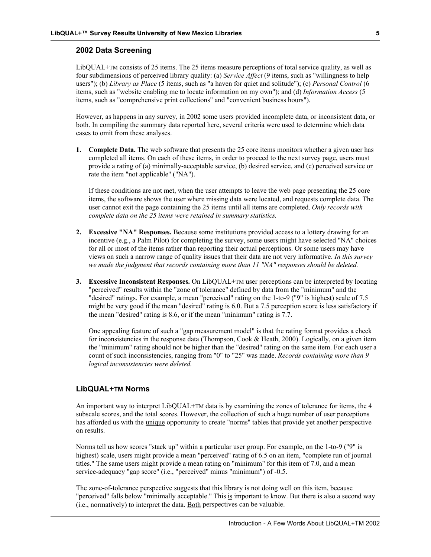#### **2002 Data Screening**

LibQUAL+TM consists of 25 items. The 25 items measure perceptions of total service quality, as well as four subdimensions of perceived library quality: (a) *Service Affect* (9 items, such as "willingness to help users"); (b) *Library as Place* (5 items, such as "a haven for quiet and solitude"); (c) *Personal Control* (6 items, such as "website enabling me to locate information on my own"); and (d) *Information Access* (5 items, such as "comprehensive print collections" and "convenient business hours").

However, as happens in any survey, in 2002 some users provided incomplete data, or inconsistent data, or both. In compiling the summary data reported here, several criteria were used to determine which data cases to omit from these analyses.

**1. Complete Data.** The web software that presents the 25 core items monitors whether a given user has completed all items. On each of these items, in order to proceed to the next survey page, users must provide a rating of (a) minimally-acceptable service, (b) desired service, and (c) perceived service or rate the item "not applicable" ("NA").

 If these conditions are not met, when the user attempts to leave the web page presenting the 25 core items, the software shows the user where missing data were located, and requests complete data. The user cannot exit the page containing the 25 items until all items are completed. *Only records with complete data on the 25 items were retained in summary statistics.*

- **2. Excessive "NA" Responses.** Because some institutions provided access to a lottery drawing for an incentive (e.g., a Palm Pilot) for completing the survey, some users might have selected "NA" choices for all or most of the items rather than reporting their actual perceptions. Or some users may have views on such a narrow range of quality issues that their data are not very informative. *In this survey we made the judgment that records containing more than 11 "NA" responses should be deleted.*
- **3. Excessive Inconsistent Responses.** On LibQUAL+TM user perceptions can be interpreted by locating "perceived" results within the "zone of tolerance" defined by data from the "minimum" and the "desired" ratings. For example, a mean "perceived" rating on the 1-to-9 ("9" is highest) scale of 7.5 might be very good if the mean "desired" rating is 6.0. But a 7.5 perception score is less satisfactory if the mean "desired" rating is 8.6, or if the mean "minimum" rating is 7.7.

 One appealing feature of such a "gap measurement model" is that the rating format provides a check for inconsistencies in the response data (Thompson, Cook & Heath, 2000). Logically, on a given item the "minimum" rating should not be higher than the "desired" rating on the same item. For each user a count of such inconsistencies, ranging from "0" to "25" was made. *Records containing more than 9 logical inconsistencies were deleted.*

#### **LibQUAL+TM Norms**

An important way to interpret LibQUAL+TM data is by examining the zones of tolerance for items, the 4 subscale scores, and the total scores. However, the collection of such a huge number of user perceptions has afforded us with the unique opportunity to create "norms" tables that provide yet another perspective on results.

Norms tell us how scores "stack up" within a particular user group. For example, on the 1-to-9 ("9" is highest) scale, users might provide a mean "perceived" rating of 6.5 on an item, "complete run of journal titles." The same users might provide a mean rating on "minimum" for this item of 7.0, and a mean service-adequacy "gap score" (i.e., "perceived" minus "minimum") of -0.5.

The zone-of-tolerance perspective suggests that this library is not doing well on this item, because "perceived" falls below "minimally acceptable." This is important to know. But there is also a second way (i.e., normatively) to interpret the data. Both perspectives can be valuable.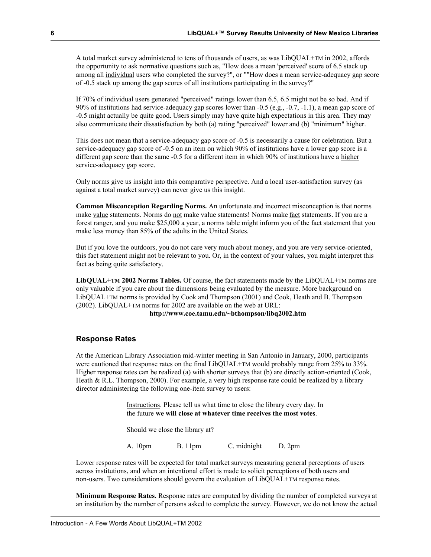A total market survey administered to tens of thousands of users, as was LibQUAL+TM in 2002, affords the opportunity to ask normative questions such as, "How does a mean 'perceived' score of 6.5 stack up among all individual users who completed the survey?", or ""How does a mean service-adequacy gap score of -0.5 stack up among the gap scores of all institutions participating in the survey?"

If 70% of individual users generated "perceived" ratings lower than 6.5, 6.5 might not be so bad. And if 90% of institutions had service-adequacy gap scores lower than -0.5 (e.g., -0.7, -1.1), a mean gap score of -0.5 might actually be quite good. Users simply may have quite high expectations in this area. They may also communicate their dissatisfaction by both (a) rating "perceived" lower and (b) "minimum" higher.

This does not mean that a service-adequacy gap score of -0.5 is necessarily a cause for celebration. But a service-adequacy gap score of -0.5 on an item on which 90% of institutions have a lower gap score is a different gap score than the same -0.5 for a different item in which 90% of institutions have a higher service-adequacy gap score.

Only norms give us insight into this comparative perspective. And a local user-satisfaction survey (as against a total market survey) can never give us this insight.

**Common Misconception Regarding Norms.** An unfortunate and incorrect misconception is that norms make value statements. Norms do not make value statements! Norms make fact statements. If you are a forest ranger, and you make \$25,000 a year, a norms table might inform you of the fact statement that you make less money than 85% of the adults in the United States.

But if you love the outdoors, you do not care very much about money, and you are very service-oriented, this fact statement might not be relevant to you. Or, in the context of your values, you might interpret this fact as being quite satisfactory.

**LibQUAL+TM 2002 Norms Tables.** Of course, the fact statements made by the LibQUAL+TM norms are only valuable if you care about the dimensions being evaluated by the measure. More background on LibQUAL+TM norms is provided by Cook and Thompson (2001) and Cook, Heath and B. Thompson (2002). LibQUAL+TM norms for 2002 are available on the web at URL:

#### **http://www.coe.tamu.edu/~bthompson/libq2002.htm**

#### **Response Rates**

At the American Library Association mid-winter meeting in San Antonio in January, 2000, participants were cautioned that response rates on the final LibQUAL+TM would probably range from 25% to 33%. Higher response rates can be realized (a) with shorter surveys that (b) are directly action-oriented (Cook, Heath & R.L. Thompson, 2000). For example, a very high response rate could be realized by a library director administering the following one-item survey to users:

> Instructions. Please tell us what time to close the library every day. In the future **we will close at whatever time receives the most votes**.

Should we close the library at?

A. 10pm B. 11pm C. midnight D. 2pm

Lower response rates will be expected for total market surveys measuring general perceptions of users across institutions, and when an intentional effort is made to solicit perceptions of both users and non-users. Two considerations should govern the evaluation of LibQUAL+TM response rates.

**Minimum Response Rates.** Response rates are computed by dividing the number of completed surveys at an institution by the number of persons asked to complete the survey. However, we do not know the actual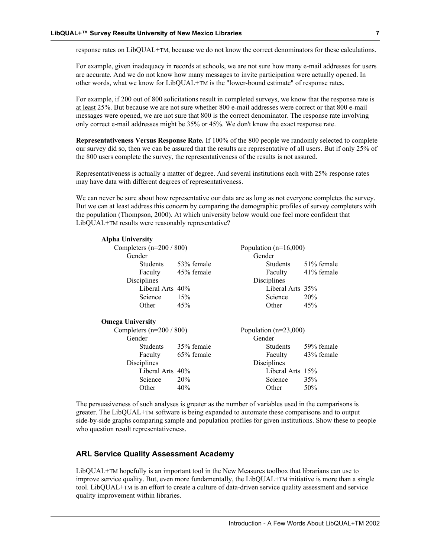response rates on LibQUAL+TM, because we do not know the correct denominators for these calculations.

For example, given inadequacy in records at schools, we are not sure how many e-mail addresses for users are accurate. And we do not know how many messages to invite participation were actually opened. In other words, what we know for LibQUAL+TM is the "lower-bound estimate" of response rates.

For example, if 200 out of 800 solicitations result in completed surveys, we know that the response rate is at least 25%. But because we are not sure whether 800 e-mail addresses were correct or that 800 e-mail messages were opened, we are not sure that 800 is the correct denominator. The response rate involving only correct e-mail addresses might be 35% or 45%. We don't know the exact response rate.

**Representativeness Versus Response Rate.** If 100% of the 800 people we randomly selected to complete our survey did so, then we can be assured that the results are representative of all users. But if only 25% of the 800 users complete the survey, the representativeness of the results is not assured.

Representativeness is actually a matter of degree. And several institutions each with 25% response rates may have data with different degrees of representativeness.

We can never be sure about how representative our data are as long as not everyone completes the survey. But we can at least address this concern by comparing the demographic profiles of survey completers with the population (Thompson, 2000). At which university below would one feel more confident that LibQUAL+TM results were reasonably representative?

| <b>Alpha University</b>  |            |                         |            |  |
|--------------------------|------------|-------------------------|------------|--|
| Completers $(n=200/800)$ |            | Population $(n=16,000)$ |            |  |
| Gender                   |            | Gender                  |            |  |
| <b>Students</b>          | 53% female | <b>Students</b>         | 51% female |  |
| Faculty                  | 45% female | Faculty                 | 41% female |  |
| Disciplines              |            | Disciplines             |            |  |
| Liberal Arts 40%         |            | Liberal Arts 35%        |            |  |
| Science                  | 15%        | Science                 | 20%        |  |
| Other                    | 45%        | Other                   | 45%        |  |
| <b>Omega University</b>  |            |                         |            |  |
| Completers $(n=200/800)$ |            | Population $(n=23,000)$ |            |  |
| Gender                   |            | Gender                  |            |  |
| <b>Students</b>          | 35% female | <b>Students</b>         | 59% female |  |
| Faculty                  | 65% female | Faculty                 | 43% female |  |
| Disciplines              |            | Disciplines             |            |  |
| Liberal Arts 40%         |            | Liberal Arts 15%        |            |  |
| Science                  | 20%        | Science                 | 35%        |  |
| Other                    | 40%        | Other                   | 50%        |  |

The persuasiveness of such analyses is greater as the number of variables used in the comparisons is greater. The LibQUAL+TM software is being expanded to automate these comparisons and to output side-by-side graphs comparing sample and population profiles for given institutions. Show these to people who question result representativeness.

#### **ARL Service Quality Assessment Academy**

LibQUAL+TM hopefully is an important tool in the New Measures toolbox that librarians can use to improve service quality. But, even more fundamentally, the LibQUAL+TM initiative is more than a single tool. LibQUAL+TM is an effort to create a culture of data-driven service quality assessment and service quality improvement within libraries.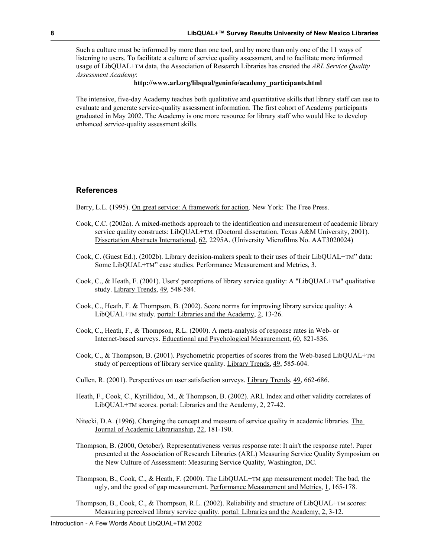Such a culture must be informed by more than one tool, and by more than only one of the 11 ways of listening to users. To facilitate a culture of service quality assessment, and to facilitate more informed usage of LibQUAL+TM data, the Association of Research Libraries has created the *ARL Service Quality Assessment Academy*:

#### **http://www.arl.org/libqual/geninfo/academy\_participants.html**

The intensive, five-day Academy teaches both qualitative and quantitative skills that library staff can use to evaluate and generate service-quality assessment information. The first cohort of Academy participants graduated in May 2002. The Academy is one more resource for library staff who would like to develop enhanced service-quality assessment skills.

#### **References**

Berry, L.L. (1995). On great service: A framework for action. New York: The Free Press.

- Cook, C.C. (2002a). A mixed-methods approach to the identification and measurement of academic library service quality constructs: LibQUAL+TM. (Doctoral dissertation, Texas A&M University, 2001). Dissertation Abstracts International, 62, 2295A. (University Microfilms No. AAT3020024)
- Cook, C. (Guest Ed.). (2002b). Library decision-makers speak to their uses of their LibQUAL+TM" data: Some LibQUAL+TM" case studies. Performance Measurement and Metrics, 3.
- Cook, C., & Heath, F. (2001). Users' perceptions of library service quality: A "LibQUAL+TM" qualitative study. Library Trends, 49, 548-584.
- Cook, C., Heath, F. & Thompson, B. (2002). Score norms for improving library service quality: A LibQUAL+TM study. portal: Libraries and the Academy, 2, 13-26.
- Cook, C., Heath, F., & Thompson, R.L. (2000). A meta-analysis of response rates in Web- or Internet-based surveys. Educational and Psychological Measurement, 60, 821-836.
- Cook, C., & Thompson, B. (2001). Psychometric properties of scores from the Web-based LibQUAL+TM study of perceptions of library service quality. Library Trends, 49, 585-604.
- Cullen, R. (2001). Perspectives on user satisfaction surveys. Library Trends, 49, 662-686.
- Heath, F., Cook, C., Kyrillidou, M., & Thompson, B. (2002). ARL Index and other validity correlates of LibQUAL+TM scores. portal: Libraries and the Academy, 2, 27-42.
- Nitecki, D.A. (1996). Changing the concept and measure of service quality in academic libraries. The Journal of Academic Librarianship, 22, 181-190.
- Thompson, B. (2000, October). Representativeness versus response rate: It ain't the response rate!. Paper presented at the Association of Research Libraries (ARL) Measuring Service Quality Symposium on the New Culture of Assessment: Measuring Service Quality, Washington, DC.
- Thompson, B., Cook, C., & Heath, F. (2000). The LibQUAL+TM gap measurement model: The bad, the ugly, and the good of gap measurement. Performance Measurement and Metrics, 1, 165-178.

Thompson, B., Cook, C., & Thompson, R.L. (2002). Reliability and structure of LibQUAL+TM scores: Measuring perceived library service quality. portal: Libraries and the Academy, 2, 3-12.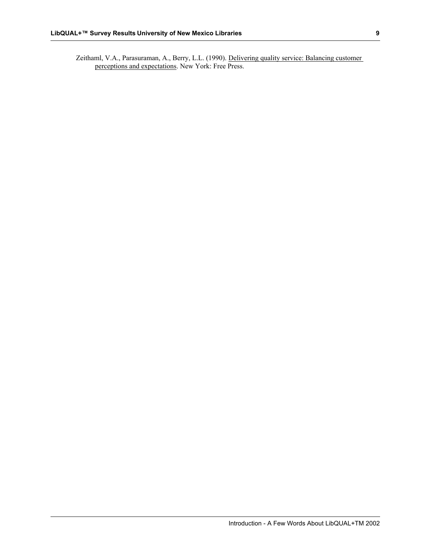Zeithaml, V.A., Parasuraman, A., Berry, L.L. (1990). Delivering quality service: Balancing customer perceptions and expectations. New York: Free Press.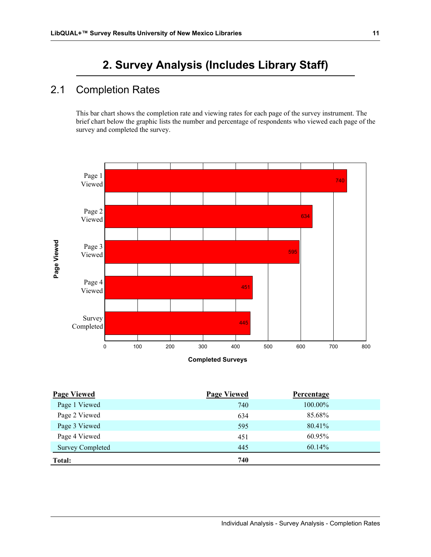# **2. Survey Analysis (Includes Library Staff)**

# 2.1 Completion Rates

This bar chart shows the completion rate and viewing rates for each page of the survey instrument. The brief chart below the graphic lists the number and percentage of respondents who viewed each page of the survey and completed the survey.



| <b>Page Viewed</b>      | <b>Page Viewed</b> | <b>Percentage</b> |  |
|-------------------------|--------------------|-------------------|--|
| Page 1 Viewed           | 740                | 100.00%           |  |
| Page 2 Viewed           | 634                | 85.68%            |  |
| Page 3 Viewed           | 595                | 80.41%            |  |
| Page 4 Viewed           | 451                | 60.95%            |  |
| <b>Survey Completed</b> | 445                | 60.14%            |  |
| Total:                  | 740                |                   |  |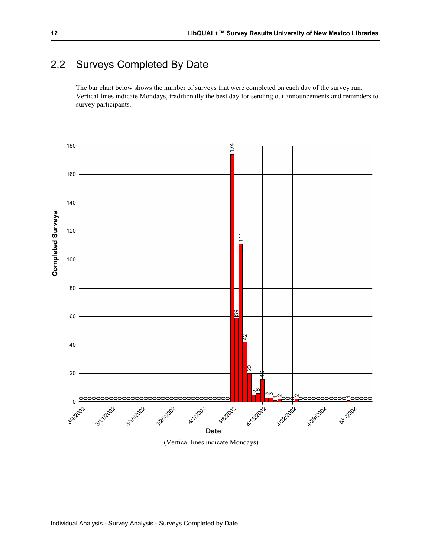# 2.2 Surveys Completed By Date

The bar chart below shows the number of surveys that were completed on each day of the survey run. Vertical lines indicate Mondays, traditionally the best day for sending out announcements and reminders to survey participants.



(Vertical lines indicate Mondays)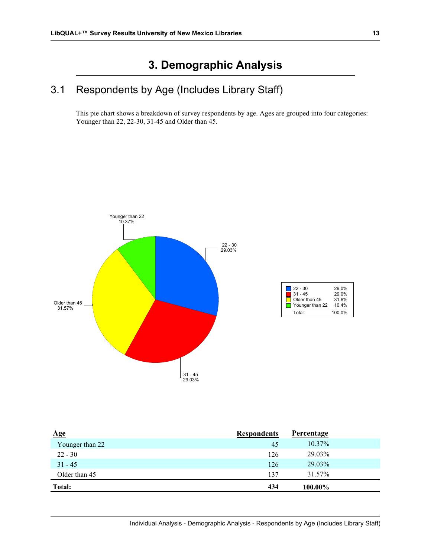# **3. Demographic Analysis**

# 3.1 Respondents by Age (Includes Library Staff)

This pie chart shows a breakdown of survey respondents by age. Ages are grouped into four categories: Younger than 22, 22-30, 31-45 and Older than 45.



| $\mathbf{Age}$  | <b>Respondents</b> | <b>Percentage</b> |  |
|-----------------|--------------------|-------------------|--|
| Younger than 22 | 45                 | $10.37\%$         |  |
| $22 - 30$       | 126                | 29.03%            |  |
| $31 - 45$       | 126                | 29.03%            |  |
| Older than 45   | 137                | 31.57%            |  |
| Total:          | 434                | 100.00%           |  |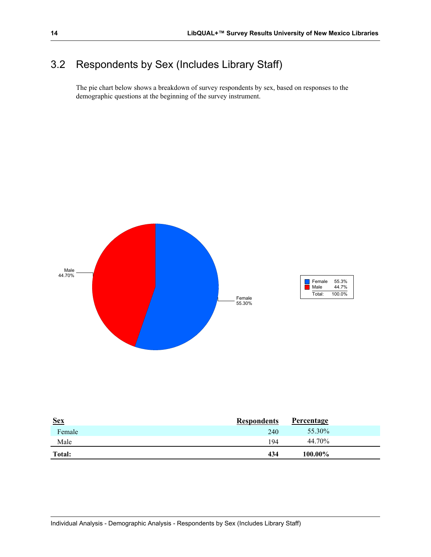# 3.2 Respondents by Sex (Includes Library Staff)

The pie chart below shows a breakdown of survey respondents by sex, based on responses to the demographic questions at the beginning of the survey instrument.



| <u>Sex</u> | <b>Respondents</b> | Percentage |  |
|------------|--------------------|------------|--|
| Female     | 240                | 55.30%     |  |
| Male       | 194                | 44.70%     |  |
| Total:     | 434                | 100.00%    |  |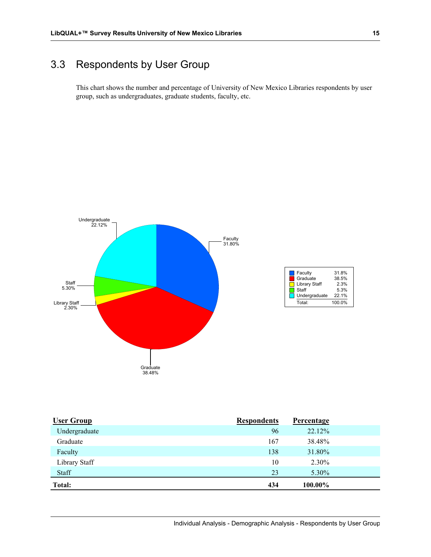# 3.3 Respondents by User Group

This chart shows the number and percentage of University of New Mexico Libraries respondents by user group, such as undergraduates, graduate students, faculty, etc.



| <b>User Group</b> | <b>Respondents</b> | <b>Percentage</b> |  |
|-------------------|--------------------|-------------------|--|
| Undergraduate     | 96                 | 22.12%            |  |
| Graduate          | 167                | 38.48%            |  |
| Faculty           | 138                | 31.80%            |  |
| Library Staff     | 10                 | 2.30%             |  |
| Staff             | 23                 | 5.30%             |  |
| Total:            | 434                | 100.00%           |  |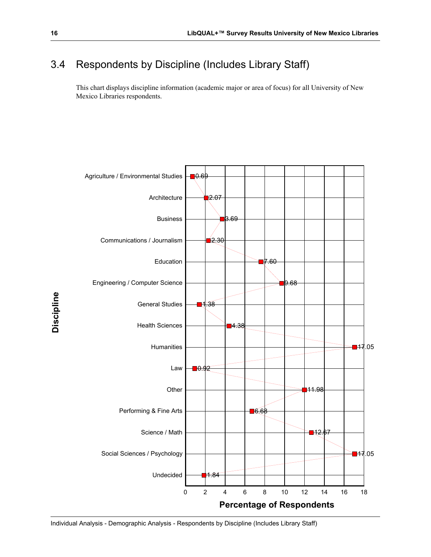# 3.4 Respondents by Discipline (Includes Library Staff)

This chart displays discipline information (academic major or area of focus) for all University of New Mexico Libraries respondents.

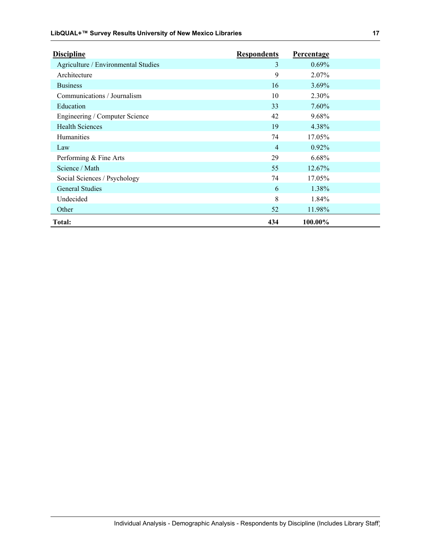| <b>Discipline</b>                   | <b>Respondents</b> | <b>Percentage</b> |  |
|-------------------------------------|--------------------|-------------------|--|
| Agriculture / Environmental Studies | 3                  | $0.69\%$          |  |
| Architecture                        | 9                  | 2.07%             |  |
| <b>Business</b>                     | 16                 | $3.69\%$          |  |
| Communications / Journalism         | 10                 | 2.30%             |  |
| Education                           | 33                 | $7.60\%$          |  |
| Engineering / Computer Science      | 42                 | 9.68%             |  |
| <b>Health Sciences</b>              | 19                 | 4.38%             |  |
| <b>Humanities</b>                   | 74                 | 17.05%            |  |
| Law                                 | $\overline{4}$     | $0.92\%$          |  |
| Performing & Fine Arts              | 29                 | 6.68%             |  |
| Science / Math                      | 55                 | 12.67%            |  |
| Social Sciences / Psychology        | 74                 | 17.05%            |  |
| <b>General Studies</b>              | 6                  | 1.38%             |  |
| Undecided                           | 8                  | 1.84%             |  |
| Other                               | 52                 | 11.98%            |  |
| Total:                              | 434                | 100.00%           |  |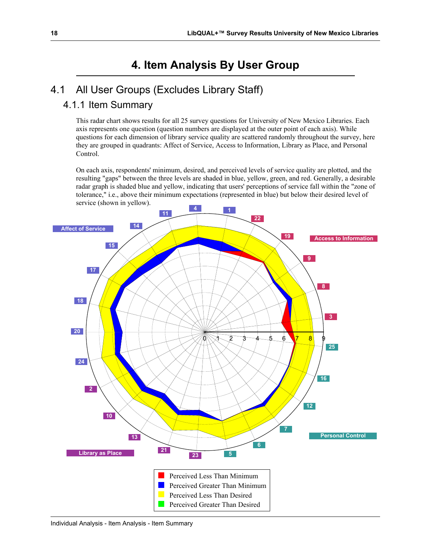# **4. Item Analysis By User Group**

# 4.1 All User Groups (Excludes Library Staff)

### 4.1.1 Item Summary

This radar chart shows results for all 25 survey questions for University of New Mexico Libraries. Each axis represents one question (question numbers are displayed at the outer point of each axis). While questions for each dimension of library service quality are scattered randomly throughout the survey, here they are grouped in quadrants: Affect of Service, Access to Information, Library as Place, and Personal Control.

On each axis, respondents' minimum, desired, and perceived levels of service quality are plotted, and the resulting "gaps" between the three levels are shaded in blue, yellow, green, and red. Generally, a desirable radar graph is shaded blue and yellow, indicating that users' perceptions of service fall within the "zone of tolerance," i.e., above their minimum expectations (represented in blue) but below their desired level of service (shown in yellow).

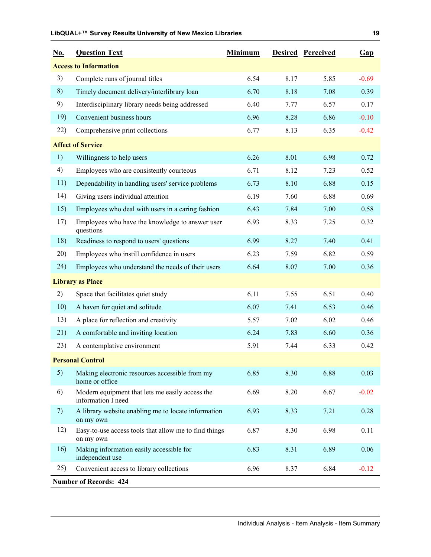| <u>No.</u> | <b>Question Text</b>                                                  | <b>Minimum</b> |      | <b>Desired Perceived</b> | Gap     |
|------------|-----------------------------------------------------------------------|----------------|------|--------------------------|---------|
|            | <b>Access to Information</b>                                          |                |      |                          |         |
| 3)         | Complete runs of journal titles                                       | 6.54           | 8.17 | 5.85                     | $-0.69$ |
| 8)         | Timely document delivery/interlibrary loan                            | 6.70           | 8.18 | 7.08                     | 0.39    |
| 9)         | Interdisciplinary library needs being addressed                       | 6.40           | 7.77 | 6.57                     | 0.17    |
| 19)        | Convenient business hours                                             | 6.96           | 8.28 | 6.86                     | $-0.10$ |
| 22)        | Comprehensive print collections                                       | 6.77           | 8.13 | 6.35                     | $-0.42$ |
|            | <b>Affect of Service</b>                                              |                |      |                          |         |
| 1)         | Willingness to help users                                             | 6.26           | 8.01 | 6.98                     | 0.72    |
| 4)         | Employees who are consistently courteous                              | 6.71           | 8.12 | 7.23                     | 0.52    |
| 11)        | Dependability in handling users' service problems                     | 6.73           | 8.10 | 6.88                     | 0.15    |
| 14)        | Giving users individual attention                                     | 6.19           | 7.60 | 6.88                     | 0.69    |
| 15)        | Employees who deal with users in a caring fashion                     | 6.43           | 7.84 | 7.00                     | 0.58    |
| 17)        | Employees who have the knowledge to answer user<br>questions          | 6.93           | 8.33 | 7.25                     | 0.32    |
| 18)        | Readiness to respond to users' questions                              | 6.99           | 8.27 | 7.40                     | 0.41    |
| 20)        | Employees who instill confidence in users                             | 6.23           | 7.59 | 6.82                     | 0.59    |
| 24)        | Employees who understand the needs of their users                     | 6.64           | 8.07 | 7.00                     | 0.36    |
|            | <b>Library as Place</b>                                               |                |      |                          |         |
| 2)         | Space that facilitates quiet study                                    | 6.11           | 7.55 | 6.51                     | 0.40    |
| 10)        | A haven for quiet and solitude                                        | 6.07           | 7.41 | 6.53                     | 0.46    |
| 13)        | A place for reflection and creativity                                 | 5.57           | 7.02 | 6.02                     | 0.46    |
| 21)        | A comfortable and inviting location                                   | 6.24           | 7.83 | 6.60                     | 0.36    |
| 23)        | A contemplative environment                                           | 5.91           | 7.44 | 6.33                     | 0.42    |
|            | <b>Personal Control</b>                                               |                |      |                          |         |
| 5)         | Making electronic resources accessible from my<br>home or office      | 6.85           | 8.30 | 6.88                     | 0.03    |
| 6)         | Modern equipment that lets me easily access the<br>information I need | 6.69           | 8.20 | 6.67                     | $-0.02$ |
| 7)         | A library website enabling me to locate information<br>on my own      | 6.93           | 8.33 | 7.21                     | 0.28    |
| 12)        | Easy-to-use access tools that allow me to find things<br>on my own    | 6.87           | 8.30 | 6.98                     | 0.11    |
| 16)        | Making information easily accessible for<br>independent use           | 6.83           | 8.31 | 6.89                     | 0.06    |
| 25)        | Convenient access to library collections                              | 6.96           | 8.37 | 6.84                     | $-0.12$ |
|            | <b>Number of Records: 424</b>                                         |                |      |                          |         |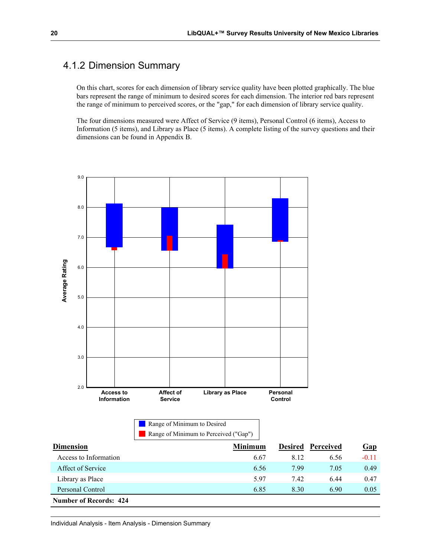### 4.1.2 Dimension Summary

On this chart, scores for each dimension of library service quality have been plotted graphically. The blue bars represent the range of minimum to desired scores for each dimension. The interior red bars represent the range of minimum to perceived scores, or the "gap," for each dimension of library service quality.

The four dimensions measured were Affect of Service (9 items), Personal Control (6 items), Access to Information (5 items), and Library as Place (5 items). A complete listing of the survey questions and their dimensions can be found in Appendix B.

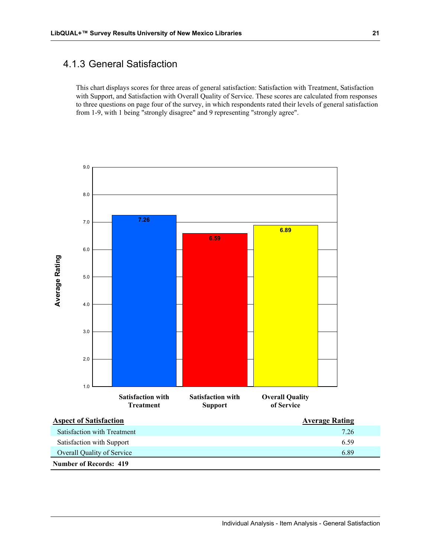### 4.1.3 General Satisfaction

This chart displays scores for three areas of general satisfaction: Satisfaction with Treatment, Satisfaction with Support, and Satisfaction with Overall Quality of Service. These scores are calculated from responses to three questions on page four of the survey, in which respondents rated their levels of general satisfaction from 1-9, with 1 being "strongly disagree" and 9 representing "strongly agree".

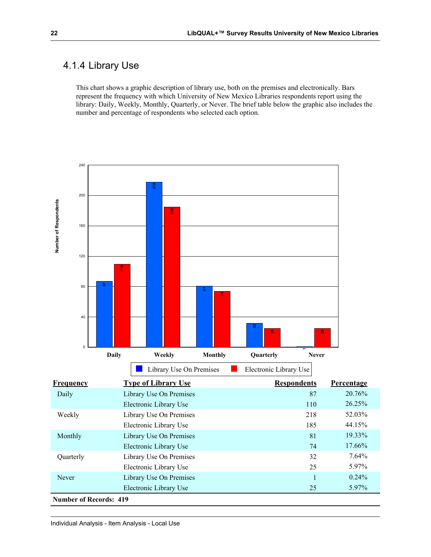### 4.1.4 Library Use

This chart shows a graphic description of library use, both on the premises and electronically. Bars represent the frequency with which University of New Mexico Libraries respondents report using the library: Daily, Weekly, Monthly, Quarterly, or Never. The brief table below the graphic also includes the number and percentage of respondents who selected each option.

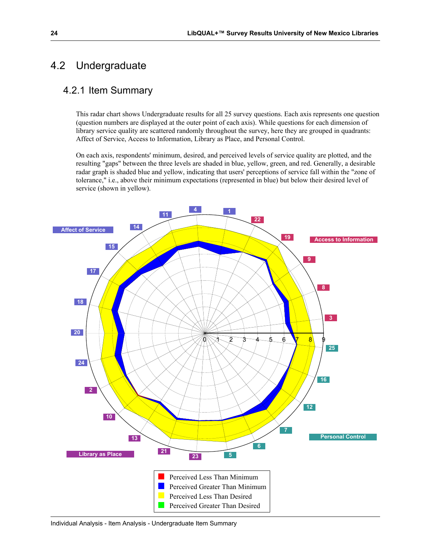## 4.2 Undergraduate

#### 4.2.1 Item Summary

This radar chart shows Undergraduate results for all 25 survey questions. Each axis represents one question (question numbers are displayed at the outer point of each axis). While questions for each dimension of library service quality are scattered randomly throughout the survey, here they are grouped in quadrants: Affect of Service, Access to Information, Library as Place, and Personal Control.

On each axis, respondents' minimum, desired, and perceived levels of service quality are plotted, and the resulting "gaps" between the three levels are shaded in blue, yellow, green, and red. Generally, a desirable radar graph is shaded blue and yellow, indicating that users' perceptions of service fall within the "zone of tolerance," i.e., above their minimum expectations (represented in blue) but below their desired level of service (shown in yellow).

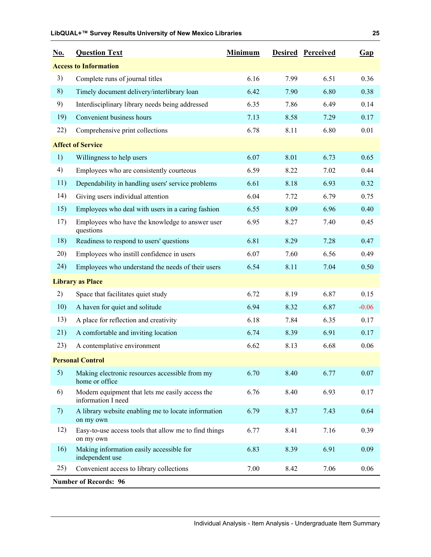| <u>No.</u> | <b>Question Text</b>                                                  | <b>Minimum</b> |      | <b>Desired Perceived</b> | Gap     |
|------------|-----------------------------------------------------------------------|----------------|------|--------------------------|---------|
|            | <b>Access to Information</b>                                          |                |      |                          |         |
| 3)         | Complete runs of journal titles                                       | 6.16           | 7.99 | 6.51                     | 0.36    |
| 8)         | Timely document delivery/interlibrary loan                            | 6.42           | 7.90 | 6.80                     | 0.38    |
| 9)         | Interdisciplinary library needs being addressed                       | 6.35           | 7.86 | 6.49                     | 0.14    |
| 19)        | Convenient business hours                                             | 7.13           | 8.58 | 7.29                     | 0.17    |
| 22)        | Comprehensive print collections                                       | 6.78           | 8.11 | 6.80                     | 0.01    |
|            | <b>Affect of Service</b>                                              |                |      |                          |         |
| 1)         | Willingness to help users                                             | 6.07           | 8.01 | 6.73                     | 0.65    |
| 4)         | Employees who are consistently courteous                              | 6.59           | 8.22 | 7.02                     | 0.44    |
| 11)        | Dependability in handling users' service problems                     | 6.61           | 8.18 | 6.93                     | 0.32    |
| 14)        | Giving users individual attention                                     | 6.04           | 7.72 | 6.79                     | 0.75    |
| 15)        | Employees who deal with users in a caring fashion                     | 6.55           | 8.09 | 6.96                     | 0.40    |
| 17)        | Employees who have the knowledge to answer user<br>questions          | 6.95           | 8.27 | 7.40                     | 0.45    |
| 18)        | Readiness to respond to users' questions                              | 6.81           | 8.29 | 7.28                     | 0.47    |
| 20)        | Employees who instill confidence in users                             | 6.07           | 7.60 | 6.56                     | 0.49    |
| 24)        | Employees who understand the needs of their users                     | 6.54           | 8.11 | 7.04                     | 0.50    |
|            | <b>Library as Place</b>                                               |                |      |                          |         |
| 2)         | Space that facilitates quiet study                                    | 6.72           | 8.19 | 6.87                     | 0.15    |
| 10)        | A haven for quiet and solitude                                        | 6.94           | 8.32 | 6.87                     | $-0.06$ |
| 13)        | A place for reflection and creativity                                 | 6.18           | 7.84 | 6.35                     | 0.17    |
| 21)        | A comfortable and inviting location                                   | 6.74           | 8.39 | 6.91                     | 0.17    |
| 23)        | A contemplative environment                                           | 6.62           | 8.13 | 6.68                     | 0.06    |
|            | <b>Personal Control</b>                                               |                |      |                          |         |
| 5)         | Making electronic resources accessible from my<br>home or office      | 6.70           | 8.40 | 6.77                     | 0.07    |
| 6)         | Modern equipment that lets me easily access the<br>information I need | 6.76           | 8.40 | 6.93                     | 0.17    |
| 7)         | A library website enabling me to locate information<br>on my own      | 6.79           | 8.37 | 7.43                     | 0.64    |
| 12)        | Easy-to-use access tools that allow me to find things<br>on my own    | 6.77           | 8.41 | 7.16                     | 0.39    |
| 16)        | Making information easily accessible for<br>independent use           | 6.83           | 8.39 | 6.91                     | 0.09    |
| 25)        | Convenient access to library collections                              | 7.00           | 8.42 | 7.06                     | 0.06    |
|            | <b>Number of Records: 96</b>                                          |                |      |                          |         |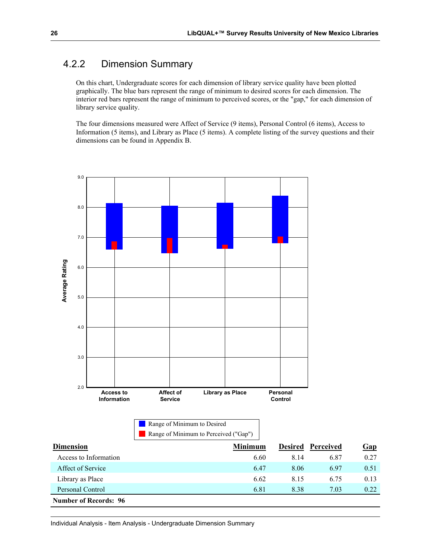### 4.2.2 Dimension Summary

On this chart, Undergraduate scores for each dimension of library service quality have been plotted graphically. The blue bars represent the range of minimum to desired scores for each dimension. The interior red bars represent the range of minimum to perceived scores, or the "gap," for each dimension of library service quality.

The four dimensions measured were Affect of Service (9 items), Personal Control (6 items), Access to Information (5 items), and Library as Place (5 items). A complete listing of the survey questions and their dimensions can be found in Appendix B.



**Number of Records: 96**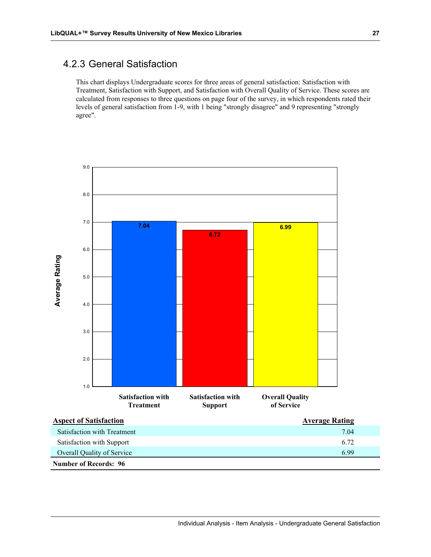#### 4.2.3 General Satisfaction

This chart displays Undergraduate scores for three areas of general satisfaction: Satisfaction with Treatment, Satisfaction with Support, and Satisfaction with Overall Quality of Service. These scores are calculated from responses to three questions on page four of the survey, in which respondents rated their levels of general satisfaction from 1-9, with 1 being "strongly disagree" and 9 representing "strongly agree".

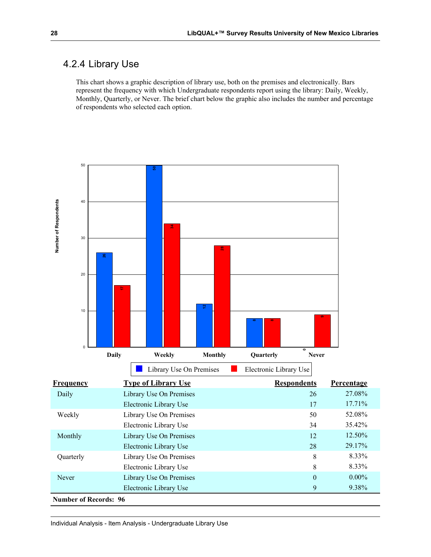### 4.2.4 Library Use

This chart shows a graphic description of library use, both on the premises and electronically. Bars represent the frequency with which Undergraduate respondents report using the library: Daily, Weekly, Monthly, Quarterly, or Never. The brief chart below the graphic also includes the number and percentage of respondents who selected each option.

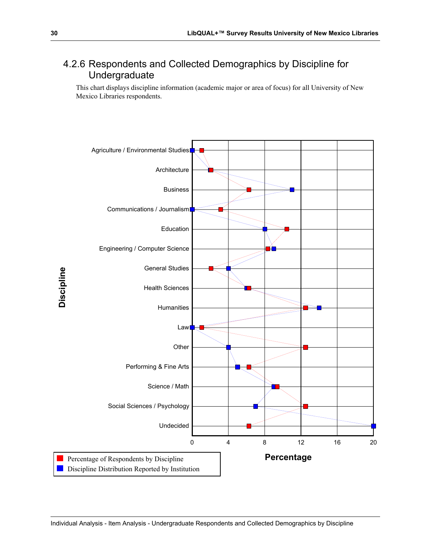### 4.2.6 Respondents and Collected Demographics by Discipline for Undergraduate

This chart displays discipline information (academic major or area of focus) for all University of New Mexico Libraries respondents.

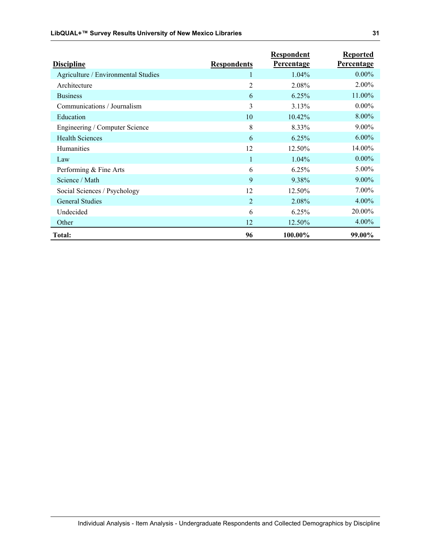| <b>Discipline</b>                   | <b>Respondents</b> | Respondent<br><b>Percentage</b> | <b>Reported</b><br>Percentage |
|-------------------------------------|--------------------|---------------------------------|-------------------------------|
| Agriculture / Environmental Studies |                    | $1.04\%$                        | $0.00\%$                      |
| Architecture                        | $\overline{2}$     | 2.08%                           | 2.00%                         |
| <b>Business</b>                     | 6                  | 6.25%                           | 11.00%                        |
| Communications / Journalism         | 3                  | 3.13%                           | $0.00\%$                      |
| Education                           | 10                 | 10.42%                          | 8.00%                         |
| Engineering / Computer Science      | 8                  | 8.33%                           | $9.00\%$                      |
| <b>Health Sciences</b>              | 6                  | 6.25%                           | $6.00\%$                      |
| Humanities                          | 12                 | 12.50%                          | 14.00%                        |
| Law                                 | 1                  | $1.04\%$                        | $0.00\%$                      |
| Performing & Fine Arts              | 6                  | 6.25%                           | 5.00%                         |
| Science / Math                      | 9                  | 9.38%                           | $9.00\%$                      |
| Social Sciences / Psychology        | 12                 | 12.50%                          | $7.00\%$                      |
| <b>General Studies</b>              | $\overline{2}$     | 2.08%                           | 4.00%                         |
| Undecided                           | 6                  | 6.25%                           | 20.00%                        |
| Other                               | 12                 | 12.50%                          | 4.00%                         |
| Total:                              | 96                 | 100.00%                         | 99.00%                        |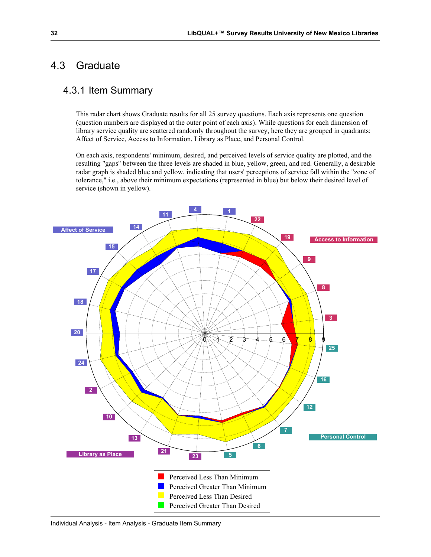#### 4.3 Graduate

#### 4.3.1 Item Summary

This radar chart shows Graduate results for all 25 survey questions. Each axis represents one question (question numbers are displayed at the outer point of each axis). While questions for each dimension of library service quality are scattered randomly throughout the survey, here they are grouped in quadrants: Affect of Service, Access to Information, Library as Place, and Personal Control.

On each axis, respondents' minimum, desired, and perceived levels of service quality are plotted, and the resulting "gaps" between the three levels are shaded in blue, yellow, green, and red. Generally, a desirable radar graph is shaded blue and yellow, indicating that users' perceptions of service fall within the "zone of tolerance," i.e., above their minimum expectations (represented in blue) but below their desired level of service (shown in yellow).

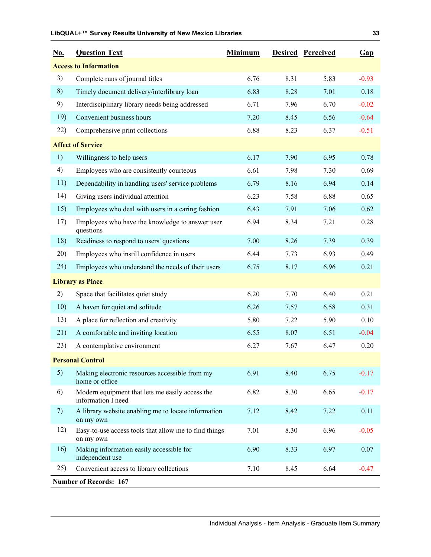| <u>No.</u> | <b>Question Text</b>                                                  | <b>Minimum</b> |      | <b>Desired Perceived</b> | Gap     |
|------------|-----------------------------------------------------------------------|----------------|------|--------------------------|---------|
|            | <b>Access to Information</b>                                          |                |      |                          |         |
| 3)         | Complete runs of journal titles                                       | 6.76           | 8.31 | 5.83                     | $-0.93$ |
| 8)         | Timely document delivery/interlibrary loan                            | 6.83           | 8.28 | 7.01                     | 0.18    |
| 9)         | Interdisciplinary library needs being addressed                       | 6.71           | 7.96 | 6.70                     | $-0.02$ |
| 19)        | Convenient business hours                                             | 7.20           | 8.45 | 6.56                     | $-0.64$ |
| 22)        | Comprehensive print collections                                       | 6.88           | 8.23 | 6.37                     | $-0.51$ |
|            | <b>Affect of Service</b>                                              |                |      |                          |         |
| 1)         | Willingness to help users                                             | 6.17           | 7.90 | 6.95                     | 0.78    |
| 4)         | Employees who are consistently courteous                              | 6.61           | 7.98 | 7.30                     | 0.69    |
| 11)        | Dependability in handling users' service problems                     | 6.79           | 8.16 | 6.94                     | 0.14    |
| 14)        | Giving users individual attention                                     | 6.23           | 7.58 | 6.88                     | 0.65    |
| 15)        | Employees who deal with users in a caring fashion                     | 6.43           | 7.91 | 7.06                     | 0.62    |
| 17)        | Employees who have the knowledge to answer user<br>questions          | 6.94           | 8.34 | 7.21                     | 0.28    |
| 18)        | Readiness to respond to users' questions                              | 7.00           | 8.26 | 7.39                     | 0.39    |
| 20)        | Employees who instill confidence in users                             | 6.44           | 7.73 | 6.93                     | 0.49    |
| 24)        | Employees who understand the needs of their users                     | 6.75           | 8.17 | 6.96                     | 0.21    |
|            | <b>Library as Place</b>                                               |                |      |                          |         |
| 2)         | Space that facilitates quiet study                                    | 6.20           | 7.70 | 6.40                     | 0.21    |
| 10)        | A haven for quiet and solitude                                        | 6.26           | 7.57 | 6.58                     | 0.31    |
| 13)        | A place for reflection and creativity                                 | 5.80           | 7.22 | 5.90                     | 0.10    |
| 21)        | A comfortable and inviting location                                   | 6.55           | 8.07 | 6.51                     | $-0.04$ |
| 23)        | A contemplative environment                                           | 6.27           | 7.67 | 6.47                     | 0.20    |
|            | <b>Personal Control</b>                                               |                |      |                          |         |
| 5)         | Making electronic resources accessible from my<br>home or office      | 6.91           | 8.40 | 6.75                     | $-0.17$ |
| 6)         | Modern equipment that lets me easily access the<br>information I need | 6.82           | 8.30 | 6.65                     | $-0.17$ |
| 7)         | A library website enabling me to locate information<br>on my own      | 7.12           | 8.42 | 7.22                     | 0.11    |
| 12)        | Easy-to-use access tools that allow me to find things<br>on my own    | 7.01           | 8.30 | 6.96                     | $-0.05$ |
| 16)        | Making information easily accessible for<br>independent use           | 6.90           | 8.33 | 6.97                     | 0.07    |
| 25)        | Convenient access to library collections                              | 7.10           | 8.45 | 6.64                     | $-0.47$ |
|            | <b>Number of Records: 167</b>                                         |                |      |                          |         |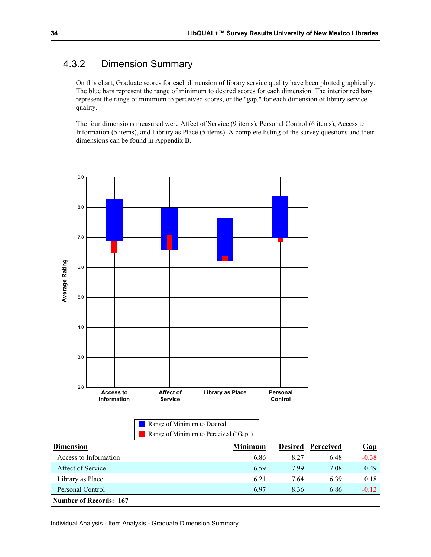### 4.3.2 Dimension Summary

On this chart, Graduate scores for each dimension of library service quality have been plotted graphically. The blue bars represent the range of minimum to desired scores for each dimension. The interior red bars represent the range of minimum to perceived scores, or the "gap," for each dimension of library service quality.

The four dimensions measured were Affect of Service (9 items), Personal Control (6 items), Access to Information (5 items), and Library as Place (5 items). A complete listing of the survey questions and their dimensions can be found in Appendix B.



Personal Control 6.97 8.36 6.86 -0.12 **Number of Records: 167**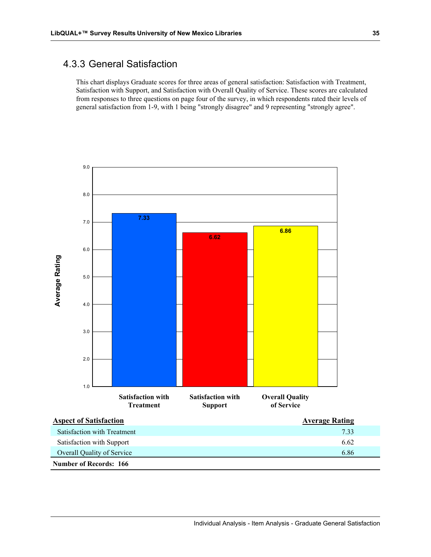#### 4.3.3 General Satisfaction

This chart displays Graduate scores for three areas of general satisfaction: Satisfaction with Treatment, Satisfaction with Support, and Satisfaction with Overall Quality of Service. These scores are calculated from responses to three questions on page four of the survey, in which respondents rated their levels of general satisfaction from 1-9, with 1 being "strongly disagree" and 9 representing "strongly agree".

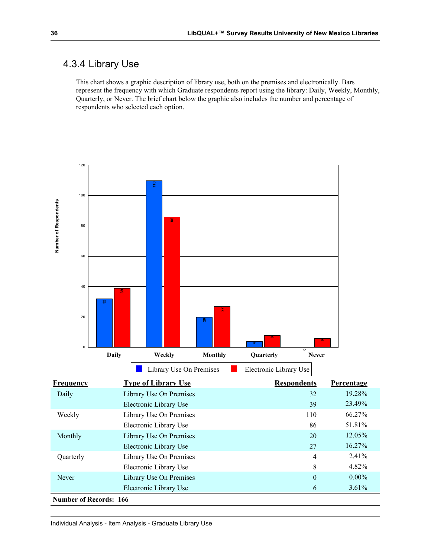### 4.3.4 Library Use

This chart shows a graphic description of library use, both on the premises and electronically. Bars represent the frequency with which Graduate respondents report using the library: Daily, Weekly, Monthly, Quarterly, or Never. The brief chart below the graphic also includes the number and percentage of respondents who selected each option.

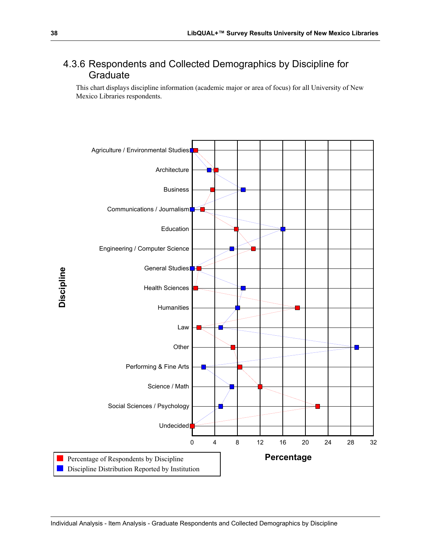### 4.3.6 Respondents and Collected Demographics by Discipline for **Graduate**

This chart displays discipline information (academic major or area of focus) for all University of New Mexico Libraries respondents.

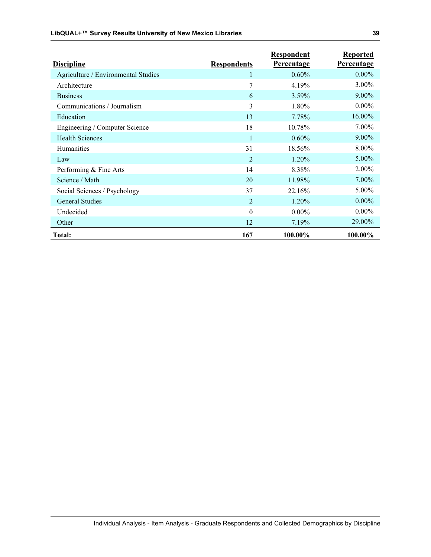| <b>Discipline</b>                   | <b>Respondents</b> | Respondent<br><b>Percentage</b> | <b>Reported</b><br><b>Percentage</b> |
|-------------------------------------|--------------------|---------------------------------|--------------------------------------|
| Agriculture / Environmental Studies |                    | $0.60\%$                        | $0.00\%$                             |
| Architecture                        | 7                  | 4.19%                           | 3.00%                                |
| <b>Business</b>                     | 6                  | 3.59%                           | $9.00\%$                             |
| Communications / Journalism         | 3                  | 1.80%                           | $0.00\%$                             |
| Education                           | 13                 | 7.78%                           | 16.00%                               |
| Engineering / Computer Science      | 18                 | 10.78%                          | $7.00\%$                             |
| <b>Health Sciences</b>              | $\mathbf{1}$       | $0.60\%$                        | $9.00\%$                             |
| Humanities                          | 31                 | 18.56%                          | $8.00\%$                             |
| Law                                 | $\overline{2}$     | $1.20\%$                        | 5.00%                                |
| Performing & Fine Arts              | 14                 | 8.38%                           | 2.00%                                |
| Science / Math                      | 20                 | 11.98%                          | $7.00\%$                             |
| Social Sciences / Psychology        | 37                 | 22.16%                          | 5.00%                                |
| <b>General Studies</b>              | $\overline{2}$     | 1.20%                           | $0.00\%$                             |
| Undecided                           | $\theta$           | $0.00\%$                        | $0.00\%$                             |
| Other                               | 12                 | 7.19%                           | 29.00%                               |
| Total:                              | 167                | 100.00%                         | 100.00%                              |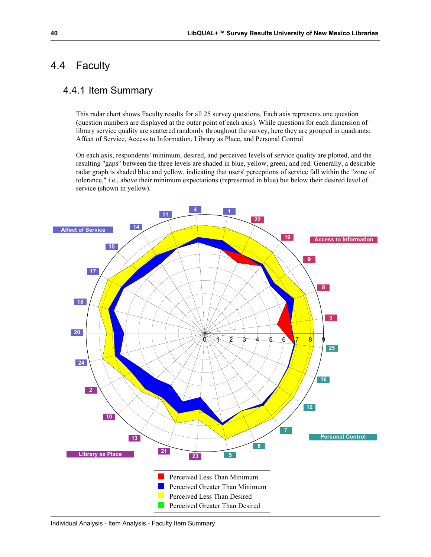### 4.4 Faculty

### 4.4.1 Item Summary

This radar chart shows Faculty results for all 25 survey questions. Each axis represents one question (question numbers are displayed at the outer point of each axis). While questions for each dimension of library service quality are scattered randomly throughout the survey, here they are grouped in quadrants: Affect of Service, Access to Information, Library as Place, and Personal Control.

On each axis, respondents' minimum, desired, and perceived levels of service quality are plotted, and the resulting "gaps" between the three levels are shaded in blue, yellow, green, and red. Generally, a desirable radar graph is shaded blue and yellow, indicating that users' perceptions of service fall within the "zone of tolerance," i.e., above their minimum expectations (represented in blue) but below their desired level of service (shown in yellow).

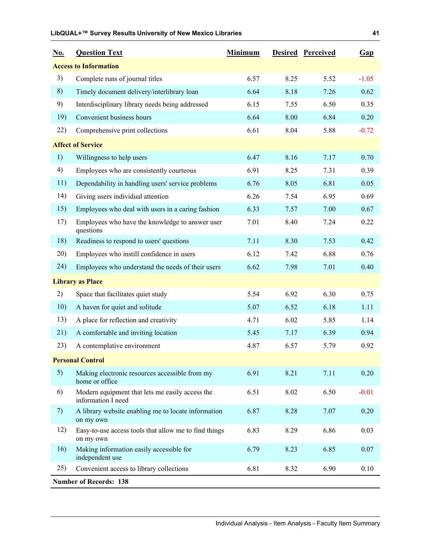| <u>No.</u> | <b>Question Text</b>                                                  | <b>Minimum</b> |      | <b>Desired Perceived</b> | Gap     |
|------------|-----------------------------------------------------------------------|----------------|------|--------------------------|---------|
|            | <b>Access to Information</b>                                          |                |      |                          |         |
| 3)         | Complete runs of journal titles                                       | 6.57           | 8.25 | 5.52                     | $-1.05$ |
| 8)         | Timely document delivery/interlibrary loan                            | 6.64           | 8.18 | 7.26                     | 0.62    |
| 9)         | Interdisciplinary library needs being addressed                       | 6.15           | 7.55 | 6.50                     | 0.35    |
| 19)        | Convenient business hours                                             | 6.64           | 8.00 | 6.84                     | 0.20    |
| 22)        | Comprehensive print collections                                       | 6.61           | 8.04 | 5.88                     | $-0.72$ |
|            | <b>Affect of Service</b>                                              |                |      |                          |         |
| 1)         | Willingness to help users                                             | 6.47           | 8.16 | 7.17                     | 0.70    |
| 4)         | Employees who are consistently courteous                              | 6.91           | 8.25 | 7.31                     | 0.39    |
| 11)        | Dependability in handling users' service problems                     | 6.76           | 8.05 | 6.81                     | 0.05    |
| 14)        | Giving users individual attention                                     | 6.26           | 7.54 | 6.95                     | 0.69    |
| 15)        | Employees who deal with users in a caring fashion                     | 6.33           | 7.57 | 7.00                     | 0.67    |
| 17)        | Employees who have the knowledge to answer user<br>questions          | 7.01           | 8.40 | 7.24                     | 0.22    |
| 18)        | Readiness to respond to users' questions                              | 7.11           | 8.30 | 7.53                     | 0.42    |
| 20)        | Employees who instill confidence in users                             | 6.12           | 7.42 | 6.88                     | 0.76    |
| 24)        | Employees who understand the needs of their users                     | 6.62           | 7.98 | 7.01                     | 0.40    |
|            | <b>Library as Place</b>                                               |                |      |                          |         |
| 2)         | Space that facilitates quiet study                                    | 5.54           | 6.92 | 6.30                     | 0.75    |
| 10)        | A haven for quiet and solitude                                        | 5.07           | 6.52 | 6.18                     | 1.11    |
| 13)        | A place for reflection and creativity                                 | 4.71           | 6.02 | 5.85                     | 1.14    |
| 21)        | A comfortable and inviting location                                   | 5.45           | 7.17 | 6.39                     | 0.94    |
| 23)        | A contemplative environment                                           | 4.87           | 6.57 | 5.79                     | 0.92    |
|            | <b>Personal Control</b>                                               |                |      |                          |         |
| 5)         | Making electronic resources accessible from my<br>home or office      | 6.91           | 8.21 | 7.11                     | 0.20    |
| 6)         | Modern equipment that lets me easily access the<br>information I need | 6.51           | 8.02 | 6.50                     | $-0.01$ |
| 7)         | A library website enabling me to locate information<br>on my own      | 6.87           | 8.28 | 7.07                     | 0.20    |
| 12)        | Easy-to-use access tools that allow me to find things<br>on my own    | 6.83           | 8.29 | 6.86                     | 0.03    |
| 16)        | Making information easily accessible for<br>independent use           | 6.79           | 8.23 | 6.85                     | 0.07    |
| 25)        | Convenient access to library collections                              | 6.81           | 8.32 | 6.90                     | 0.10    |
|            | <b>Number of Records: 138</b>                                         |                |      |                          |         |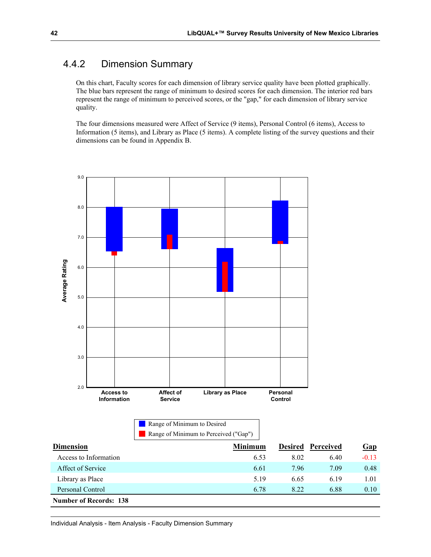### 4.4.2 Dimension Summary

On this chart, Faculty scores for each dimension of library service quality have been plotted graphically. The blue bars represent the range of minimum to desired scores for each dimension. The interior red bars represent the range of minimum to perceived scores, or the "gap," for each dimension of library service quality.

The four dimensions measured were Affect of Service (9 items), Personal Control (6 items), Access to Information (5 items), and Library as Place (5 items). A complete listing of the survey questions and their dimensions can be found in Appendix B.



| <b>Number of Records: 138</b> |      |      |      |      |  |  |  |
|-------------------------------|------|------|------|------|--|--|--|
| Personal Control              | 6.78 | 8.22 | 6.88 | 0.10 |  |  |  |
| Library as Place              | 5.19 | 6.65 | 619  | l.01 |  |  |  |
| Affect of Service             | 6.61 | 7.96 | 7.09 | 0.48 |  |  |  |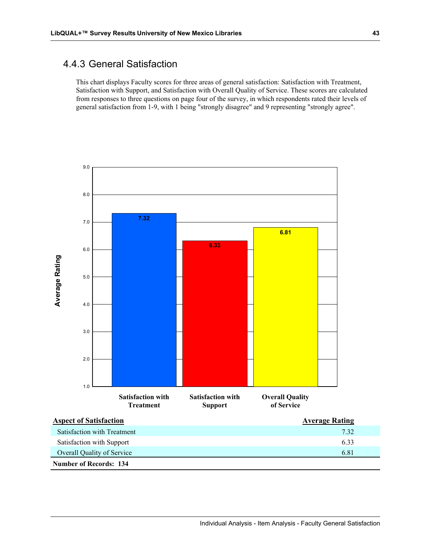### 4.4.3 General Satisfaction

This chart displays Faculty scores for three areas of general satisfaction: Satisfaction with Treatment, Satisfaction with Support, and Satisfaction with Overall Quality of Service. These scores are calculated from responses to three questions on page four of the survey, in which respondents rated their levels of general satisfaction from 1-9, with 1 being "strongly disagree" and 9 representing "strongly agree".

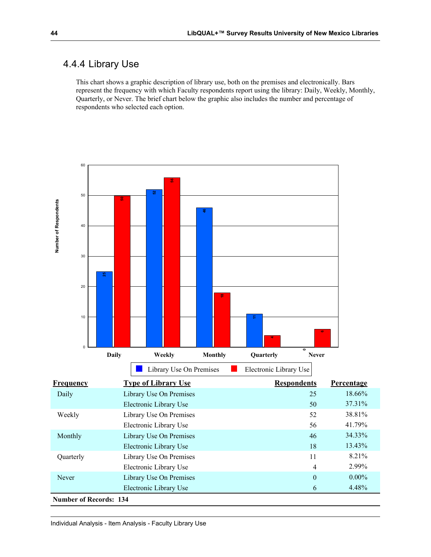#### 4.4.4 Library Use

This chart shows a graphic description of library use, both on the premises and electronically. Bars represent the frequency with which Faculty respondents report using the library: Daily, Weekly, Monthly, Quarterly, or Never. The brief chart below the graphic also includes the number and percentage of respondents who selected each option.

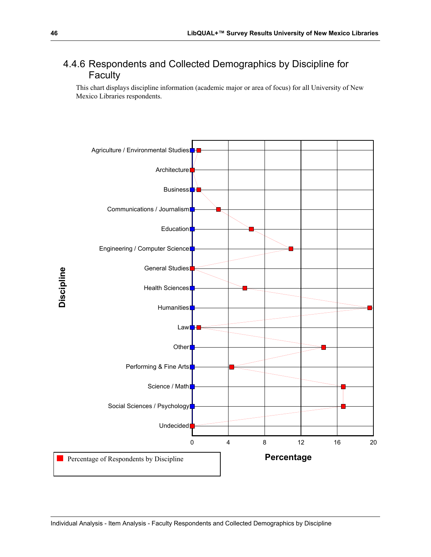### 4.4.6 Respondents and Collected Demographics by Discipline for Faculty

This chart displays discipline information (academic major or area of focus) for all University of New Mexico Libraries respondents.

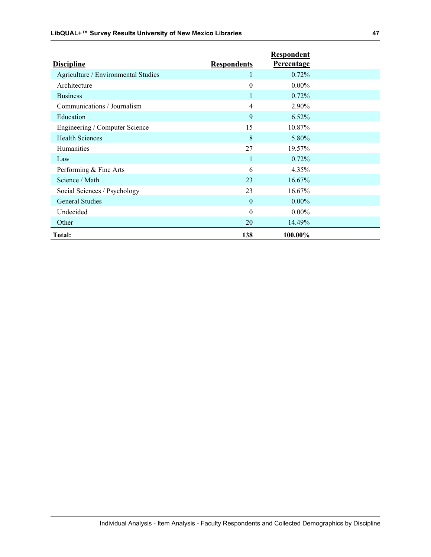|                                     |                    | <b>Respondent</b> |  |
|-------------------------------------|--------------------|-------------------|--|
| <b>Discipline</b>                   | <b>Respondents</b> | <b>Percentage</b> |  |
| Agriculture / Environmental Studies |                    | 0.72%             |  |
| Architecture                        | $\boldsymbol{0}$   | $0.00\%$          |  |
| <b>Business</b>                     |                    | 0.72%             |  |
| Communications / Journalism         | $\overline{4}$     | 2.90%             |  |
| Education                           | 9                  | 6.52%             |  |
| Engineering / Computer Science      | 15                 | 10.87%            |  |
| <b>Health Sciences</b>              | 8                  | 5.80%             |  |
| Humanities                          | 27                 | 19.57%            |  |
| Law                                 | 1                  | 0.72%             |  |
| Performing & Fine Arts              | 6                  | 4.35%             |  |
| Science / Math                      | 23                 | 16.67%            |  |
| Social Sciences / Psychology        | 23                 | 16.67%            |  |
| <b>General Studies</b>              | $\mathbf{0}$       | $0.00\%$          |  |
| Undecided                           | $\mathbf{0}$       | $0.00\%$          |  |
| Other                               | 20                 | 14.49%            |  |
| <b>Total:</b>                       | 138                | 100.00%           |  |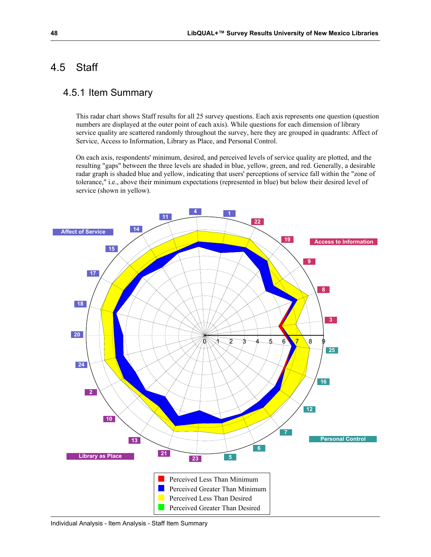### 4.5 Staff

#### 4.5.1 Item Summary

This radar chart shows Staff results for all 25 survey questions. Each axis represents one question (question numbers are displayed at the outer point of each axis). While questions for each dimension of library service quality are scattered randomly throughout the survey, here they are grouped in quadrants: Affect of Service, Access to Information, Library as Place, and Personal Control.

On each axis, respondents' minimum, desired, and perceived levels of service quality are plotted, and the resulting "gaps" between the three levels are shaded in blue, yellow, green, and red. Generally, a desirable radar graph is shaded blue and yellow, indicating that users' perceptions of service fall within the "zone of tolerance," i.e., above their minimum expectations (represented in blue) but below their desired level of service (shown in yellow).

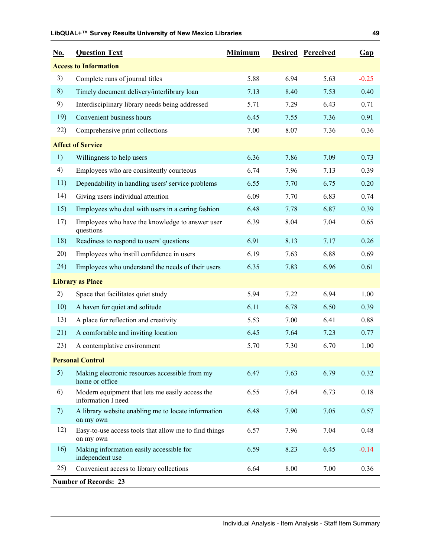| <u>No.</u> | <b>Question Text</b>                                                  | <b>Minimum</b> |      | <b>Desired Perceived</b> | Gap     |
|------------|-----------------------------------------------------------------------|----------------|------|--------------------------|---------|
|            | <b>Access to Information</b>                                          |                |      |                          |         |
| 3)         | Complete runs of journal titles                                       | 5.88           | 6.94 | 5.63                     | $-0.25$ |
| 8)         | Timely document delivery/interlibrary loan                            | 7.13           | 8.40 | 7.53                     | 0.40    |
| 9)         | Interdisciplinary library needs being addressed                       | 5.71           | 7.29 | 6.43                     | 0.71    |
| 19)        | Convenient business hours                                             | 6.45           | 7.55 | 7.36                     | 0.91    |
| 22)        | Comprehensive print collections                                       | 7.00           | 8.07 | 7.36                     | 0.36    |
|            | <b>Affect of Service</b>                                              |                |      |                          |         |
| 1)         | Willingness to help users                                             | 6.36           | 7.86 | 7.09                     | 0.73    |
| 4)         | Employees who are consistently courteous                              | 6.74           | 7.96 | 7.13                     | 0.39    |
| 11)        | Dependability in handling users' service problems                     | 6.55           | 7.70 | 6.75                     | 0.20    |
| 14)        | Giving users individual attention                                     | 6.09           | 7.70 | 6.83                     | 0.74    |
| 15)        | Employees who deal with users in a caring fashion                     | 6.48           | 7.78 | 6.87                     | 0.39    |
| 17)        | Employees who have the knowledge to answer user<br>questions          | 6.39           | 8.04 | 7.04                     | 0.65    |
| 18)        | Readiness to respond to users' questions                              | 6.91           | 8.13 | 7.17                     | 0.26    |
| 20)        | Employees who instill confidence in users                             | 6.19           | 7.63 | 6.88                     | 0.69    |
| 24)        | Employees who understand the needs of their users                     | 6.35           | 7.83 | 6.96                     | 0.61    |
|            | <b>Library as Place</b>                                               |                |      |                          |         |
| 2)         | Space that facilitates quiet study                                    | 5.94           | 7.22 | 6.94                     | 1.00    |
| 10)        | A haven for quiet and solitude                                        | 6.11           | 6.78 | 6.50                     | 0.39    |
| 13)        | A place for reflection and creativity                                 | 5.53           | 7.00 | 6.41                     | 0.88    |
| 21)        | A comfortable and inviting location                                   | 6.45           | 7.64 | 7.23                     | 0.77    |
| 23)        | A contemplative environment                                           | 5.70           | 7.30 | 6.70                     | 1.00    |
|            | <b>Personal Control</b>                                               |                |      |                          |         |
| 5)         | Making electronic resources accessible from my<br>home or office      | 6.47           | 7.63 | 6.79                     | 0.32    |
| 6)         | Modern equipment that lets me easily access the<br>information I need | 6.55           | 7.64 | 6.73                     | 0.18    |
| 7)         | A library website enabling me to locate information<br>on my own      | 6.48           | 7.90 | 7.05                     | 0.57    |
| 12)        | Easy-to-use access tools that allow me to find things<br>on my own    | 6.57           | 7.96 | 7.04                     | 0.48    |
| 16)        | Making information easily accessible for<br>independent use           | 6.59           | 8.23 | 6.45                     | $-0.14$ |
| 25)        | Convenient access to library collections                              | 6.64           | 8.00 | 7.00                     | 0.36    |
|            | <b>Number of Records: 23</b>                                          |                |      |                          |         |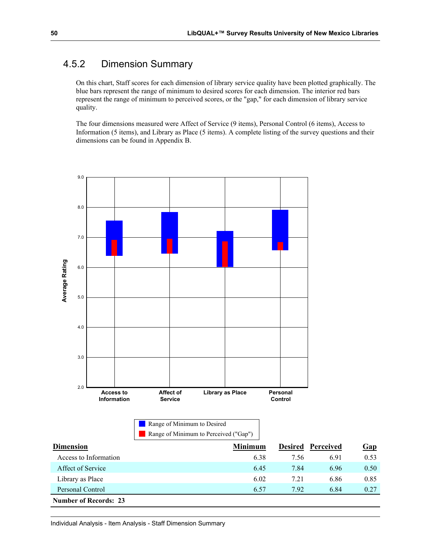### 4.5.2 Dimension Summary

On this chart, Staff scores for each dimension of library service quality have been plotted graphically. The blue bars represent the range of minimum to desired scores for each dimension. The interior red bars represent the range of minimum to perceived scores, or the "gap," for each dimension of library service quality.

The four dimensions measured were Affect of Service (9 items), Personal Control (6 items), Access to Information (5 items), and Library as Place (5 items). A complete listing of the survey questions and their dimensions can be found in Appendix B.

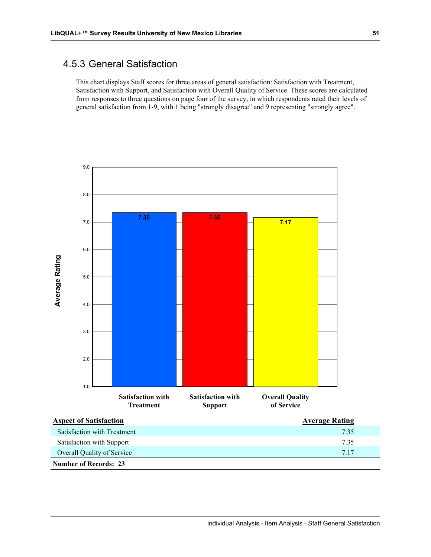#### 4.5.3 General Satisfaction

This chart displays Staff scores for three areas of general satisfaction: Satisfaction with Treatment, Satisfaction with Support, and Satisfaction with Overall Quality of Service. These scores are calculated from responses to three questions on page four of the survey, in which respondents rated their levels of general satisfaction from 1-9, with 1 being "strongly disagree" and 9 representing "strongly agree".

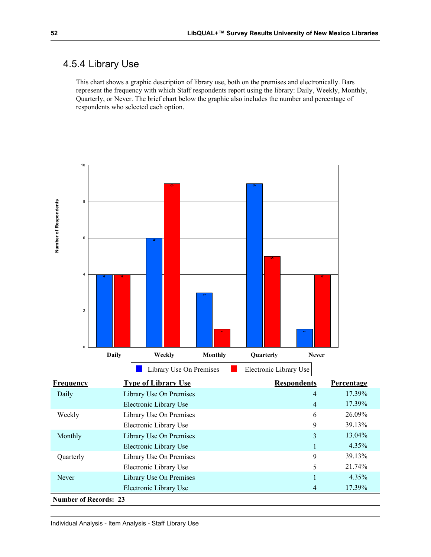### 4.5.4 Library Use

This chart shows a graphic description of library use, both on the premises and electronically. Bars represent the frequency with which Staff respondents report using the library: Daily, Weekly, Monthly, Quarterly, or Never. The brief chart below the graphic also includes the number and percentage of respondents who selected each option.

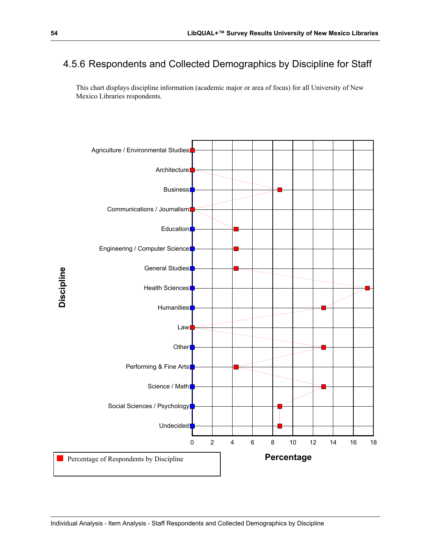### 4.5.6 Respondents and Collected Demographics by Discipline for Staff

This chart displays discipline information (academic major or area of focus) for all University of New Mexico Libraries respondents.

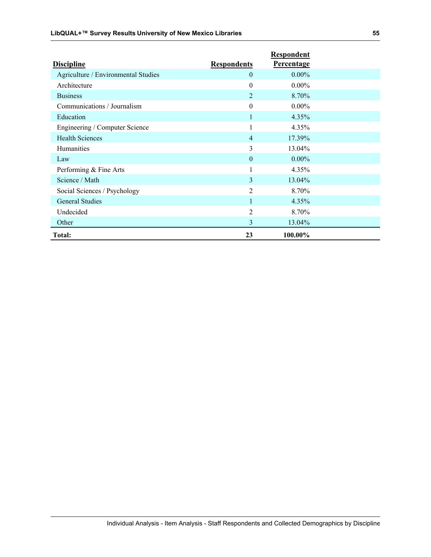|                                     |                    | <b>Respondent</b> |  |
|-------------------------------------|--------------------|-------------------|--|
| <b>Discipline</b>                   | <b>Respondents</b> | <b>Percentage</b> |  |
| Agriculture / Environmental Studies | $\mathbf{0}$       | $0.00\%$          |  |
| Architecture                        | $\boldsymbol{0}$   | $0.00\%$          |  |
| <b>Business</b>                     | $\overline{2}$     | 8.70%             |  |
| Communications / Journalism         | $\theta$           | $0.00\%$          |  |
| Education                           | 1                  | 4.35%             |  |
| Engineering / Computer Science      | 1                  | 4.35%             |  |
| <b>Health Sciences</b>              | $\overline{4}$     | 17.39%            |  |
| <b>Humanities</b>                   | 3                  | 13.04%            |  |
| Law                                 | $\mathbf{0}$       | $0.00\%$          |  |
| Performing & Fine Arts              | 1                  | 4.35%             |  |
| Science / Math                      | 3                  | 13.04%            |  |
| Social Sciences / Psychology        | $\overline{2}$     | 8.70%             |  |
| <b>General Studies</b>              |                    | 4.35%             |  |
| Undecided                           | $\overline{2}$     | 8.70%             |  |
| Other                               | $\overline{3}$     | 13.04%            |  |
| <b>Total:</b>                       | 23                 | 100.00%           |  |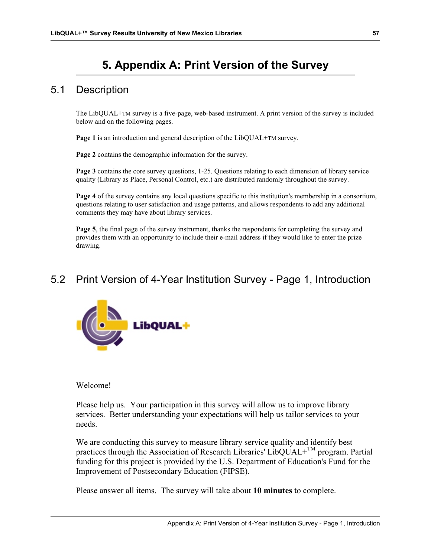# **5. Appendix A: Print Version of the Survey**

### 5.1 Description

The LibQUAL+TM survey is a five-page, web-based instrument. A print version of the survey is included below and on the following pages.

**Page 1** is an introduction and general description of the LibQUAL+TM survey.

**Page 2** contains the demographic information for the survey.

**Page 3** contains the core survey questions, 1-25. Questions relating to each dimension of library service quality (Library as Place, Personal Control, etc.) are distributed randomly throughout the survey.

**Page 4** of the survey contains any local questions specific to this institution's membership in a consortium, questions relating to user satisfaction and usage patterns, and allows respondents to add any additional comments they may have about library services.

**Page 5**, the final page of the survey instrument, thanks the respondents for completing the survey and provides them with an opportunity to include their e-mail address if they would like to enter the prize drawing.

## 5.2 Print Version of 4-Year Institution Survey - Page 1, Introduction



Welcome!

Please help us. Your participation in this survey will allow us to improve library services. Better understanding your expectations will help us tailor services to your needs.

We are conducting this survey to measure library service quality and identify best practices through the Association of Research Libraries' LibQUAL+TM program. Partial funding for this project is provided by the U.S. Department of Education's Fund for the Improvement of Postsecondary Education (FIPSE).

Please answer all items. The survey will take about **10 minutes** to complete.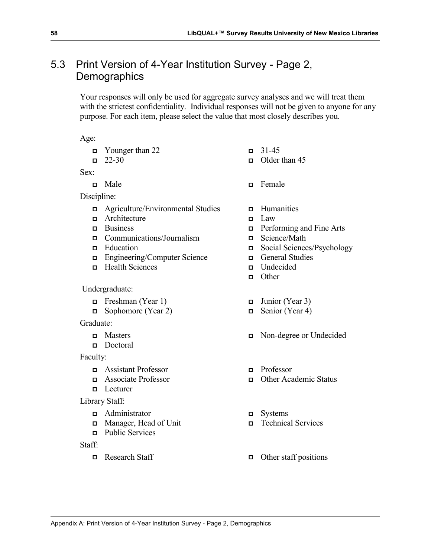# 5.3 Print Version of 4-Year Institution Survey - Page 2, **Demographics**

Your responses will only be used for aggregate survey analyses and we will treat them with the strictest confidentiality. Individual responses will not be given to anyone for any purpose. For each item, please select the value that most closely describes you.

Age:

- $\Box$  Younger than 22  $\Box$  31-45
- 

Sex:

Discipline:

- $\Box$  Agriculture/Environmental Studies  $\Box$  Humanities
- $\Box$  Architecture  $\Box$  Law
- 
- $\Box$  Communications/Journalism  $\Box$  Science/Math
- 
- Engineering/Computer Science **General Studies**
- Health Sciences Undecided

Undergraduate:

- Freshman (Year 1)  $\Box$  Junior (Year 3)
- Sophomore (Year 2)  $\Box$  Senior (Year 4)

#### Graduate:

- 
- Doctoral

Faculty:

- Assistant Professor Professor
- 
- $\Box$  Lecturer
- Library Staff:
	- Administrator Systems
	- Manager, Head of Unit Technical Services
	- **Public Services**

Staff:

- 
- $\Box$  22-30  $\Box$  Older than 45
- $\Box$  Male  $\Box$  Female
	-
	-
- Business Performing and Fine Arts
	-
- Education Social Sciences/Psychology
	-
	-
	- **n** Other
	-
	-
- Masters Non-degree or Undecided
	-
- Associate Professor Other Academic Status
	-
	-
- $\Box$  Research Staff  $\Box$  Other staff positions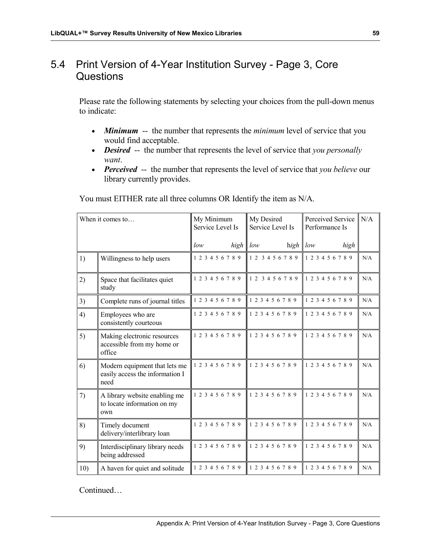# 5.4 Print Version of 4-Year Institution Survey - Page 3, Core Questions

Please rate the following statements by selecting your choices from the pull-down menus to indicate:

- *Minimum* -- the number that represents the *minimum* level of service that you would find acceptable.
- *Desired* -- the number that represents the level of service that *you personally want*.
- *Perceived* -- the number that represents the level of service that *you believe* our library currently provides.

| When it comes to |                                                                          | My Minimum<br>Service Level Is | My Desired<br>Service Level Is | Perceived Service<br>Performance Is | N/A |
|------------------|--------------------------------------------------------------------------|--------------------------------|--------------------------------|-------------------------------------|-----|
|                  |                                                                          | high<br>low                    | low<br>high $low$              | high                                |     |
| 1)               | Willingness to help users                                                | 1 2 3 4 5 6 7 8 9              | 1 2 3 4 5 6 7 8 9              | 1 2 3 4 5 6 7 8 9                   | N/A |
| 2)               | Space that facilitates quiet<br>study                                    | 1 2 3 4 5 6 7 8 9              | 1 2 3 4 5 6 7 8 9              | 1 2 3 4 5 6 7 8 9                   | N/A |
| 3)               | Complete runs of journal titles                                          | 1 2 3 4 5 6 7 8 9              | 1 2 3 4 5 6 7 8 9              | 1 2 3 4 5 6 7 8 9                   | N/A |
| 4)               | Employees who are<br>consistently courteous                              | 1 2 3 4 5 6 7 8 9              | 1 2 3 4 5 6 7 8 9              | 1 2 3 4 5 6 7 8 9                   | N/A |
| 5)               | Making electronic resources<br>accessible from my home or<br>office      | 1 2 3 4 5 6 7 8 9              | 1 2 3 4 5 6 7 8 9              | 1 2 3 4 5 6 7 8 9                   | N/A |
| 6)               | Modern equipment that lets me<br>easily access the information I<br>need | 1 2 3 4 5 6 7 8 9              | 1 2 3 4 5 6 7 8 9              | 1 2 3 4 5 6 7 8 9                   | N/A |
| 7)               | A library website enabling me<br>to locate information on my<br>own      | 1 2 3 4 5 6 7 8 9              | 1 2 3 4 5 6 7 8 9              | 1 2 3 4 5 6 7 8 9                   | N/A |
| 8)               | Timely document<br>delivery/interlibrary loan                            | 1 2 3 4 5 6 7 8 9              | 1 2 3 4 5 6 7 8 9              | 1 2 3 4 5 6 7 8 9                   | N/A |
| 9)               | Interdisciplinary library needs<br>being addressed                       | 1 2 3 4 5 6 7 8 9              | 1 2 3 4 5 6 7 8 9              | 1 2 3 4 5 6 7 8 9                   | N/A |
| 10)              | A haven for quiet and solitude                                           | 1 2 3 4 5 6 7 8 9              | 1 2 3 4 5 6 7 8 9              | 1 2 3 4 5 6 7 8 9                   | N/A |

You must EITHER rate all three columns OR Identify the item as N/A.

Continued…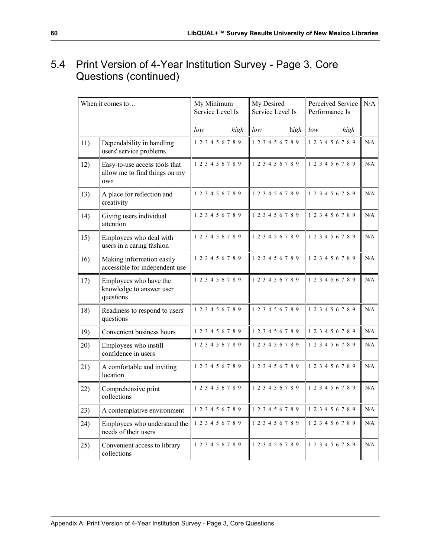# 5.4 Print Version of 4-Year Institution Survey - Page 3, Core Questions (continued)

|     | When it comes to                                                      | My Minimum<br>Service Level Is | My Desired<br>Service Level Is | Perceived Service<br>Performance Is | N/A |
|-----|-----------------------------------------------------------------------|--------------------------------|--------------------------------|-------------------------------------|-----|
|     |                                                                       | low<br>high                    | low<br>high                    | low<br>high                         |     |
| 11) | Dependability in handling<br>users' service problems                  | 1 2 3 4 5 6 7 8 9              | 1 2 3 4 5 6 7 8 9              | 1 2 3 4 5 6 7 8 9                   | N/A |
| 12) | Easy-to-use access tools that<br>allow me to find things on my<br>own | 1 2 3 4 5 6 7 8 9              | 1 2 3 4 5 6 7 8 9              | 1 2 3 4 5 6 7 8 9                   | N/A |
| 13) | A place for reflection and<br>creativity                              | 1 2 3 4 5 6 7 8 9              | 1 2 3 4 5 6 7 8 9              | 1 2 3 4 5 6 7 8 9                   | N/A |
| 14) | Giving users individual<br>attention                                  | 1 2 3 4 5 6 7 8 9              | 1 2 3 4 5 6 7 8 9              | 1 2 3 4 5 6 7 8 9                   | N/A |
| 15) | Employees who deal with<br>users in a caring fashion                  | 1 2 3 4 5 6 7 8 9              | 1 2 3 4 5 6 7 8 9              | 1 2 3 4 5 6 7 8 9                   | N/A |
| 16) | Making information easily<br>accessible for independent use           | 1 2 3 4 5 6 7 8 9              | 1 2 3 4 5 6 7 8 9              | 1 2 3 4 5 6 7 8 9                   | N/A |
| 17) | Employees who have the<br>knowledge to answer user<br>questions       | 1 2 3 4 5 6 7 8 9              | 1 2 3 4 5 6 7 8 9              | 1 2 3 4 5 6 7 8 9                   | N/A |
| 18) | Readiness to respond to users'<br>questions                           | 1 2 3 4 5 6 7 8 9              | 1 2 3 4 5 6 7 8 9              | 1 2 3 4 5 6 7 8 9                   | N/A |
| 19) | Convenient business hours                                             | 1 2 3 4 5 6 7 8 9              | 1 2 3 4 5 6 7 8 9              | 1 2 3 4 5 6 7 8 9                   | N/A |
| 20) | Employees who instill<br>confidence in users                          | 1 2 3 4 5 6 7 8 9              | 1 2 3 4 5 6 7 8 9              | 1 2 3 4 5 6 7 8 9                   | N/A |
| 21) | A comfortable and inviting<br>location                                | 1 2 3 4 5 6 7 8 9              | 1 2 3 4 5 6 7 8 9              | 1 2 3 4 5 6 7 8 9                   | N/A |
| 22) | Comprehensive print<br>collections                                    | 1 2 3 4 5 6 7 8 9              | 1 2 3 4 5 6 7 8 9              | 1 2 3 4 5 6 7 8 9                   | N/A |
| 23) | A contemplative environment                                           | 1 2 3 4 5 6 7 8 9              | 1 2 3 4 5 6 7 8 9              | 1 2 3 4 5 6 7 8 9                   | N/A |
| 24) | Employees who understand the<br>needs of their users                  | 1 2 3 4 5 6 7 8 9              | 1 2 3 4 5 6 7 8 9              | 1 2 3 4 5 6 7 8 9                   | N/A |
| 25) | Convenient access to library<br>collections                           | 1 2 3 4 5 6 7 8 9              | 1 2 3 4 5 6 7 8 9              | 1 2 3 4 5 6 7 8 9                   | N/A |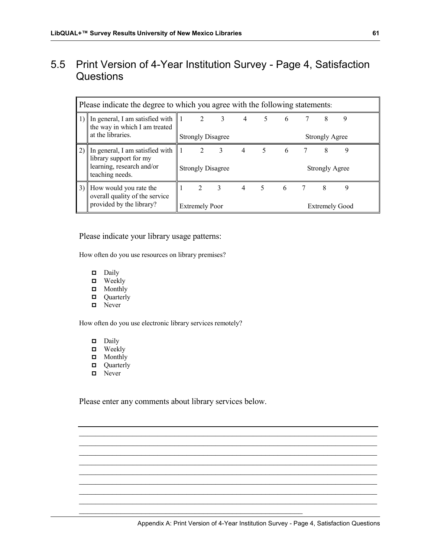# 5.5 Print Version of 4-Year Institution Survey - Page 4, Satisfaction **Questions**

|    | Please indicate the degree to which you agree with the following statements.                              |                                                                                                                                 |                                         |                          |                |   |     |    |                            |   |  |
|----|-----------------------------------------------------------------------------------------------------------|---------------------------------------------------------------------------------------------------------------------------------|-----------------------------------------|--------------------------|----------------|---|-----|----|----------------------------|---|--|
|    | 1) In general, I am satisfied with<br>the way in which I am treated<br>at the libraries.                  | $2 \quad 3 \quad 4$<br>8<br>5 <sup>5</sup><br>$6\overline{6}$<br>9<br>11 L<br><b>Strongly Disagree</b><br><b>Strongly Agree</b> |                                         |                          |                |   |     |    |                            |   |  |
| 2) | In general, I am satisfied with<br>library support for my<br>learning, research and/or<br>teaching needs. | ll 1                                                                                                                            | 2<br><b>Strongly Disagree</b>           | 3                        | $\overline{4}$ | 5 | - 6 | -7 | 8<br><b>Strongly Agree</b> | 9 |  |
| 3) | How would you rate the<br>overall quality of the service<br>provided by the library?                      |                                                                                                                                 | $\overline{2}$<br><b>Extremely Poor</b> | $\overline{\phantom{a}}$ | $\overline{4}$ | 5 | 6   | 7  | 8<br><b>Extremely Good</b> | 9 |  |

Please indicate your library usage patterns:

How often do you use resources on library premises?

- Daily
- **D** Weekly
- Monthly
- **D** Quarterly
- Never

How often do you use electronic library services remotely?

- Daily
- **D** Weekly
- **D** Monthly
- **D** Quarterly
- **D** Never

Please enter any comments about library services below.

 $\mathcal{L}_\mathcal{L}$  , and the set of the set of the set of the set of the set of the set of the set of the set of the set of the set of the set of the set of the set of the set of the set of the set of the set of the set of th

 $\mathcal{L}_\mathcal{L}$  , and the contribution of the contribution of the contribution of the contribution of the contribution of the contribution of the contribution of the contribution of the contribution of the contribution of  $\mathcal{L}_\text{max} = \mathcal{L}_\text{max} = \mathcal{L}_\text{max} = \mathcal{L}_\text{max} = \mathcal{L}_\text{max} = \mathcal{L}_\text{max} = \mathcal{L}_\text{max} = \mathcal{L}_\text{max} = \mathcal{L}_\text{max} = \mathcal{L}_\text{max} = \mathcal{L}_\text{max} = \mathcal{L}_\text{max} = \mathcal{L}_\text{max} = \mathcal{L}_\text{max} = \mathcal{L}_\text{max} = \mathcal{L}_\text{max} = \mathcal{L}_\text{max} = \mathcal{L}_\text{max} = \mathcal{$  $\mathcal{L}_\mathcal{L}$  , and the contribution of the contribution of the contribution of the contribution of the contribution of the contribution of the contribution of the contribution of the contribution of the contribution of  $\mathcal{L}_\mathcal{L}$  , and the contribution of the contribution of the contribution of the contribution of the contribution of the contribution of the contribution of the contribution of the contribution of the contribution of  $\mathcal{L}_\mathcal{L}$  , and the contribution of the contribution of the contribution of the contribution of the contribution of the contribution of the contribution of the contribution of the contribution of the contribution of  $\mathcal{L}_\text{max} = \mathcal{L}_\text{max} = \mathcal{L}_\text{max} = \mathcal{L}_\text{max} = \mathcal{L}_\text{max} = \mathcal{L}_\text{max} = \mathcal{L}_\text{max} = \mathcal{L}_\text{max} = \mathcal{L}_\text{max} = \mathcal{L}_\text{max} = \mathcal{L}_\text{max} = \mathcal{L}_\text{max} = \mathcal{L}_\text{max} = \mathcal{L}_\text{max} = \mathcal{L}_\text{max} = \mathcal{L}_\text{max} = \mathcal{L}_\text{max} = \mathcal{L}_\text{max} = \mathcal{$  $\mathcal{L}_\mathcal{L}$  , and the contribution of the contribution of the contribution of the contribution of the contribution of the contribution of the contribution of the contribution of the contribution of the contribution of  $\mathcal{L}_\mathcal{L}$  , and the contribution of the contribution of the contribution of the contribution of the contribution of the contribution of the contribution of the contribution of the contribution of the contribution of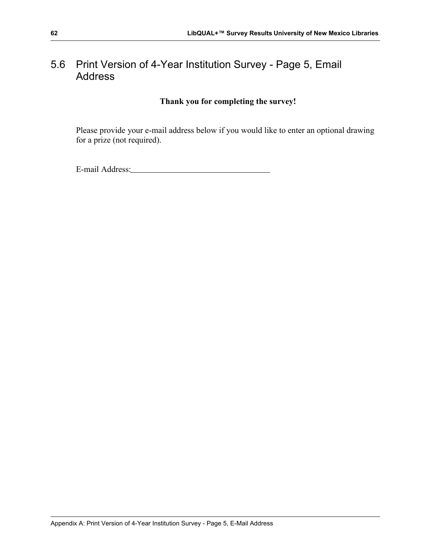# 5.6 Print Version of 4-Year Institution Survey - Page 5, Email Address

### **Thank you for completing the survey!**

Please provide your e-mail address below if you would like to enter an optional drawing for a prize (not required).

E-mail Address: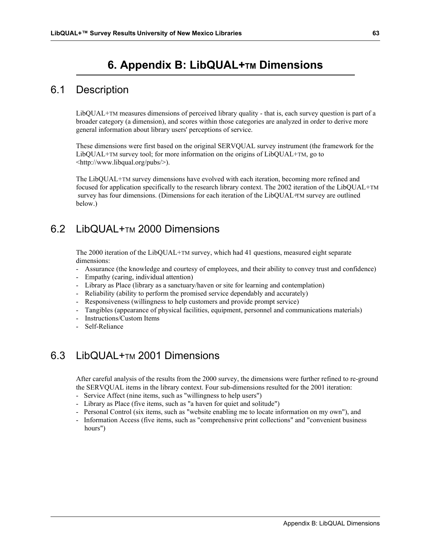# **6. Appendix B: LibQUAL+TM Dimensions**

### 6.1 Description

LibQUAL+TM measures dimensions of perceived library quality - that is, each survey question is part of a broader category (a dimension), and scores within those categories are analyzed in order to derive more general information about library users' perceptions of service.

These dimensions were first based on the original SERVQUAL survey instrument (the framework for the LibQUAL+TM survey tool; for more information on the origins of LibQUAL+TM, go to <http://www.libqual.org/pubs/>).

The LibQUAL+TM survey dimensions have evolved with each iteration, becoming more refined and focused for application specifically to the research library context. The 2002 iteration of the LibQUAL+TM survey has four dimensions. (Dimensions for each iteration of the LibQUAL+TM survey are outlined below.)

# 6.2 LibQUAL+TM 2000 Dimensions

The 2000 iteration of the LibQUAL+TM survey, which had 41 questions, measured eight separate dimensions:

- Assurance (the knowledge and courtesy of employees, and their ability to convey trust and confidence)
- Empathy (caring, individual attention)
- Library as Place (library as a sanctuary/haven or site for learning and contemplation)
- Reliability (ability to perform the promised service dependably and accurately)
- Responsiveness (willingness to help customers and provide prompt service)
- Tangibles (appearance of physical facilities, equipment, personnel and communications materials)
- Instructions/Custom Items
- Self-Reliance

## 6.3 LibQUAL+<sub>TM</sub> 2001 Dimensions

After careful analysis of the results from the 2000 survey, the dimensions were further refined to re-ground the SERVQUAL items in the library context. Four sub-dimensions resulted for the 2001 iteration:

- Service Affect (nine items, such as "willingness to help users")
- Library as Place (five items, such as "a haven for quiet and solitude")
- Personal Control (six items, such as "website enabling me to locate information on my own"), and
- Information Access (five items, such as "comprehensive print collections" and "convenient business hours")